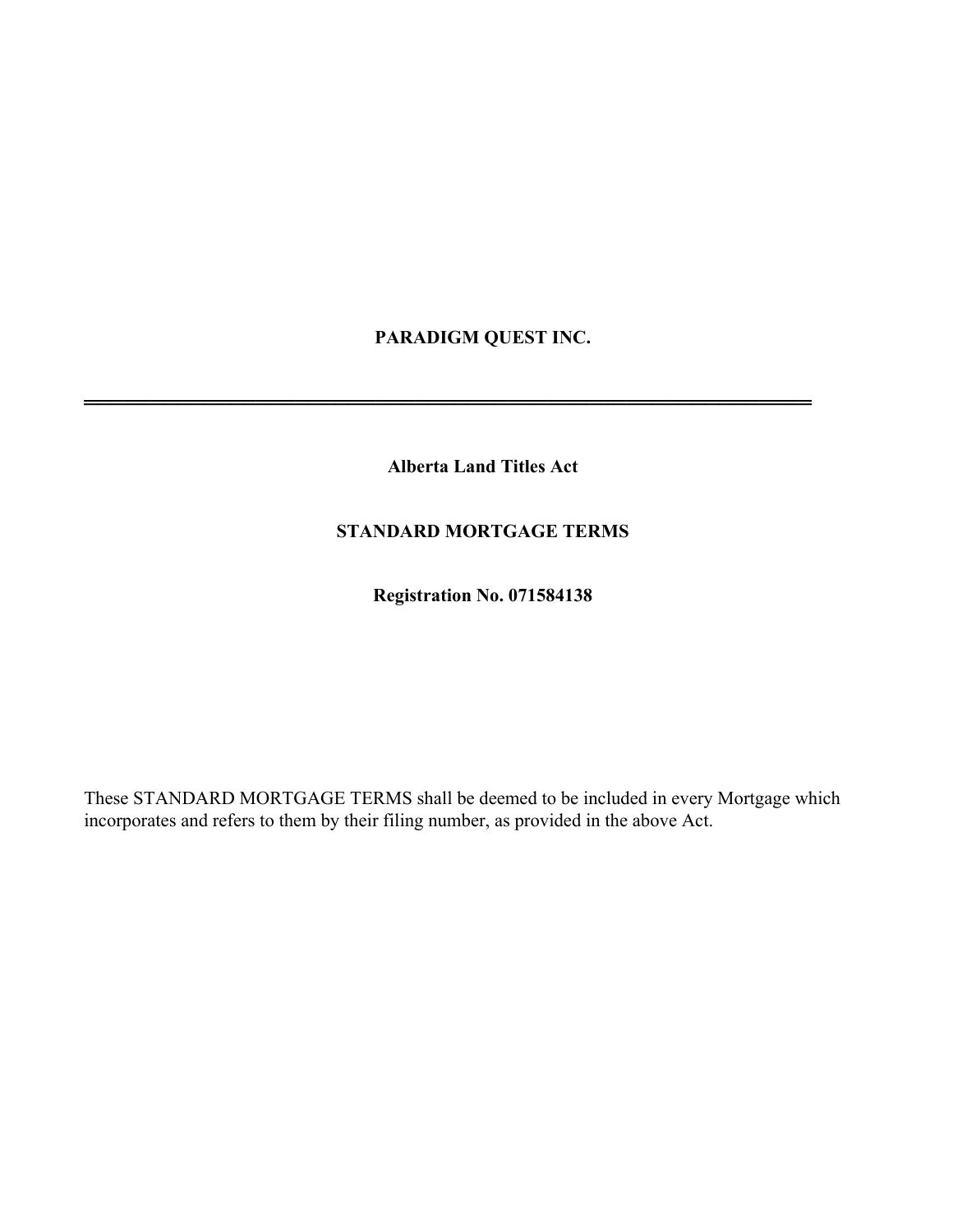# **PARADIGM QUEST INC.**

**Alberta Land Titles Act** 

═══════════════════════════════════════════════════════

# **STANDARD MORTGAGE TERMS**

**Registration No. 071584138** 

These STANDARD MORTGAGE TERMS shall be deemed to be included in every Mortgage which incorporates and refers to them by their filing number, as provided in the above Act.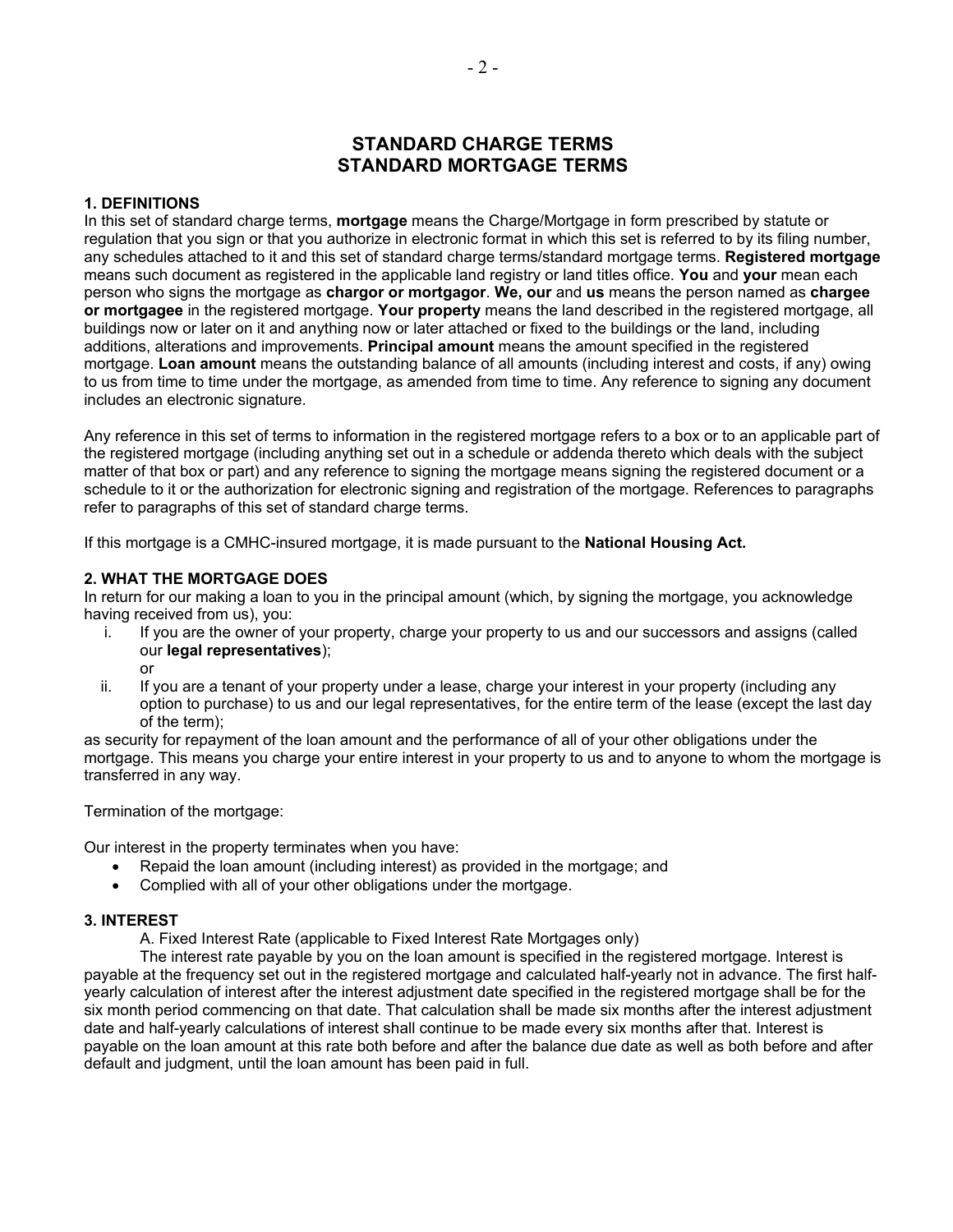# **STANDARD CHARGE TERMS STANDARD MORTGAGE TERMS**

#### **1. DEFINITIONS**

In this set of standard charge terms, **mortgage** means the Charge/Mortgage in form prescribed by statute or regulation that you sign or that you authorize in electronic format in which this set is referred to by its filing number, any schedules attached to it and this set of standard charge terms/standard mortgage terms. **Registered mortgage** means such document as registered in the applicable land registry or land titles office. **You** and **your** mean each person who signs the mortgage as **chargor or mortgagor**. **We, our** and **us** means the person named as **chargee or mortgagee** in the registered mortgage. **Your property** means the land described in the registered mortgage, all buildings now or later on it and anything now or later attached or fixed to the buildings or the land, including additions, alterations and improvements. **Principal amount** means the amount specified in the registered mortgage. **Loan amount** means the outstanding balance of all amounts (including interest and costs, if any) owing to us from time to time under the mortgage, as amended from time to time. Any reference to signing any document includes an electronic signature.

Any reference in this set of terms to information in the registered mortgage refers to a box or to an applicable part of the registered mortgage (including anything set out in a schedule or addenda thereto which deals with the subject matter of that box or part) and any reference to signing the mortgage means signing the registered document or a schedule to it or the authorization for electronic signing and registration of the mortgage. References to paragraphs refer to paragraphs of this set of standard charge terms.

If this mortgage is a CMHC-insured mortgage, it is made pursuant to the **National Housing Act.** 

#### **2. WHAT THE MORTGAGE DOES**

In return for our making a loan to you in the principal amount (which, by signing the mortgage, you acknowledge having received from us), you:

- i. If you are the owner of your property, charge your property to us and our successors and assigns (called our **legal representatives**);
	- or
- ii. If you are a tenant of your property under a lease, charge your interest in your property (including any option to purchase) to us and our legal representatives, for the entire term of the lease (except the last day of the term);

as security for repayment of the loan amount and the performance of all of your other obligations under the mortgage. This means you charge your entire interest in your property to us and to anyone to whom the mortgage is transferred in any way.

Termination of the mortgage:

Our interest in the property terminates when you have:

- Repaid the loan amount (including interest) as provided in the mortgage; and
- Complied with all of your other obligations under the mortgage.

#### **3. INTEREST**

A. Fixed Interest Rate (applicable to Fixed Interest Rate Mortgages only)

The interest rate payable by you on the loan amount is specified in the registered mortgage. Interest is payable at the frequency set out in the registered mortgage and calculated half-yearly not in advance. The first halfyearly calculation of interest after the interest adjustment date specified in the registered mortgage shall be for the six month period commencing on that date. That calculation shall be made six months after the interest adjustment date and half-yearly calculations of interest shall continue to be made every six months after that. Interest is payable on the loan amount at this rate both before and after the balance due date as well as both before and after default and judgment, until the loan amount has been paid in full.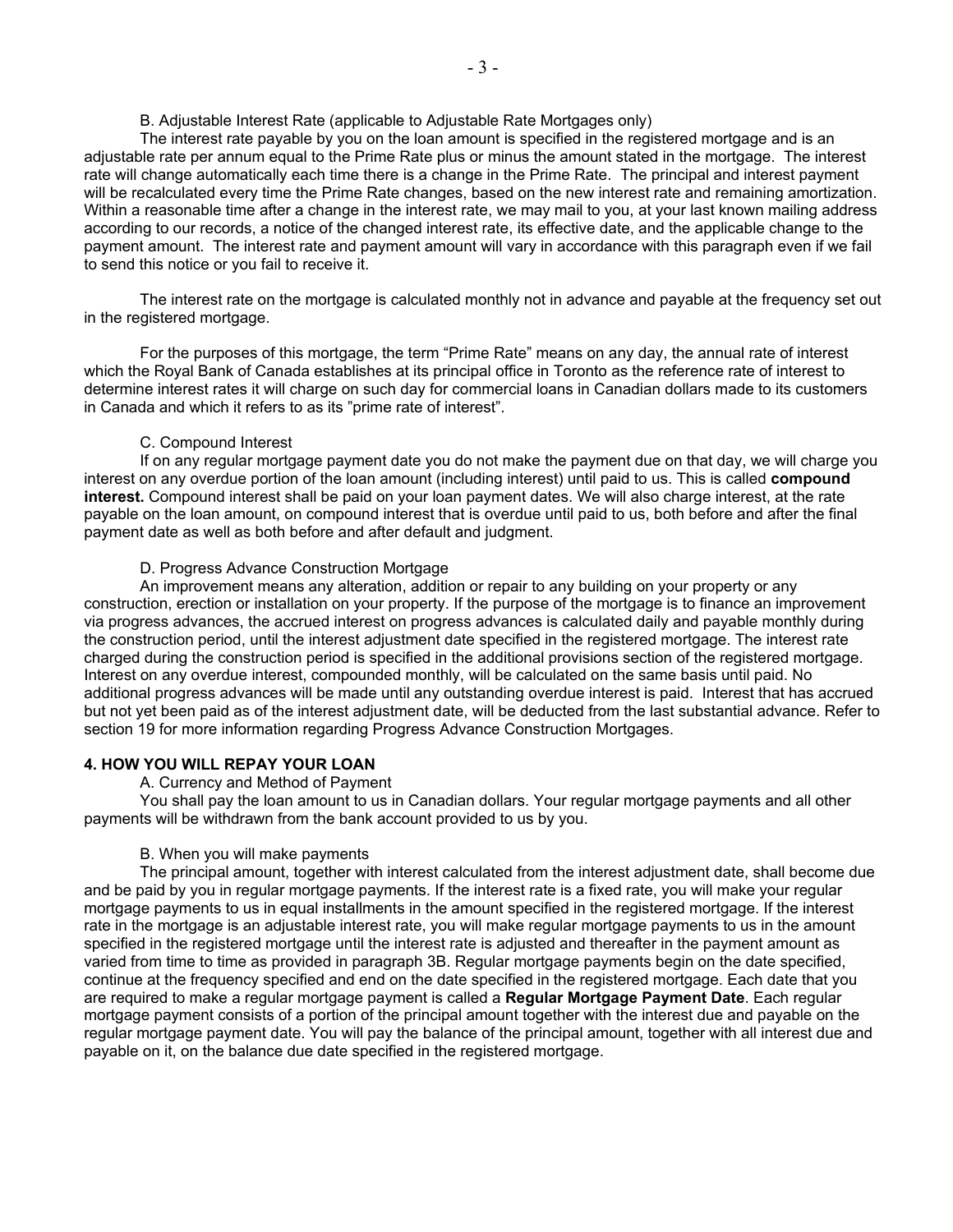#### B. Adjustable Interest Rate (applicable to Adjustable Rate Mortgages only)

The interest rate payable by you on the loan amount is specified in the registered mortgage and is an adjustable rate per annum equal to the Prime Rate plus or minus the amount stated in the mortgage. The interest rate will change automatically each time there is a change in the Prime Rate. The principal and interest payment will be recalculated every time the Prime Rate changes, based on the new interest rate and remaining amortization. Within a reasonable time after a change in the interest rate, we may mail to you, at your last known mailing address according to our records, a notice of the changed interest rate, its effective date, and the applicable change to the payment amount. The interest rate and payment amount will vary in accordance with this paragraph even if we fail to send this notice or you fail to receive it.

The interest rate on the mortgage is calculated monthly not in advance and payable at the frequency set out in the registered mortgage.

For the purposes of this mortgage, the term "Prime Rate" means on any day, the annual rate of interest which the Royal Bank of Canada establishes at its principal office in Toronto as the reference rate of interest to determine interest rates it will charge on such day for commercial loans in Canadian dollars made to its customers in Canada and which it refers to as its "prime rate of interest".

#### C. Compound Interest

If on any regular mortgage payment date you do not make the payment due on that day, we will charge you interest on any overdue portion of the loan amount (including interest) until paid to us. This is called **compound interest.** Compound interest shall be paid on your loan payment dates. We will also charge interest, at the rate payable on the loan amount, on compound interest that is overdue until paid to us, both before and after the final payment date as well as both before and after default and judgment.

#### D. Progress Advance Construction Mortgage

An improvement means any alteration, addition or repair to any building on your property or any construction, erection or installation on your property. If the purpose of the mortgage is to finance an improvement via progress advances, the accrued interest on progress advances is calculated daily and payable monthly during the construction period, until the interest adjustment date specified in the registered mortgage. The interest rate charged during the construction period is specified in the additional provisions section of the registered mortgage. Interest on any overdue interest, compounded monthly, will be calculated on the same basis until paid. No additional progress advances will be made until any outstanding overdue interest is paid. Interest that has accrued but not yet been paid as of the interest adjustment date, will be deducted from the last substantial advance. Refer to section 19 for more information regarding Progress Advance Construction Mortgages.

#### **4. HOW YOU WILL REPAY YOUR LOAN**

A. Currency and Method of Payment

You shall pay the loan amount to us in Canadian dollars. Your regular mortgage payments and all other payments will be withdrawn from the bank account provided to us by you.

#### B. When you will make payments

The principal amount, together with interest calculated from the interest adjustment date, shall become due and be paid by you in regular mortgage payments. If the interest rate is a fixed rate, you will make your regular mortgage payments to us in equal installments in the amount specified in the registered mortgage. If the interest rate in the mortgage is an adjustable interest rate, you will make regular mortgage payments to us in the amount specified in the registered mortgage until the interest rate is adjusted and thereafter in the payment amount as varied from time to time as provided in paragraph 3B. Regular mortgage payments begin on the date specified, continue at the frequency specified and end on the date specified in the registered mortgage. Each date that you are required to make a regular mortgage payment is called a **Regular Mortgage Payment Date**. Each regular mortgage payment consists of a portion of the principal amount together with the interest due and payable on the regular mortgage payment date. You will pay the balance of the principal amount, together with all interest due and payable on it, on the balance due date specified in the registered mortgage.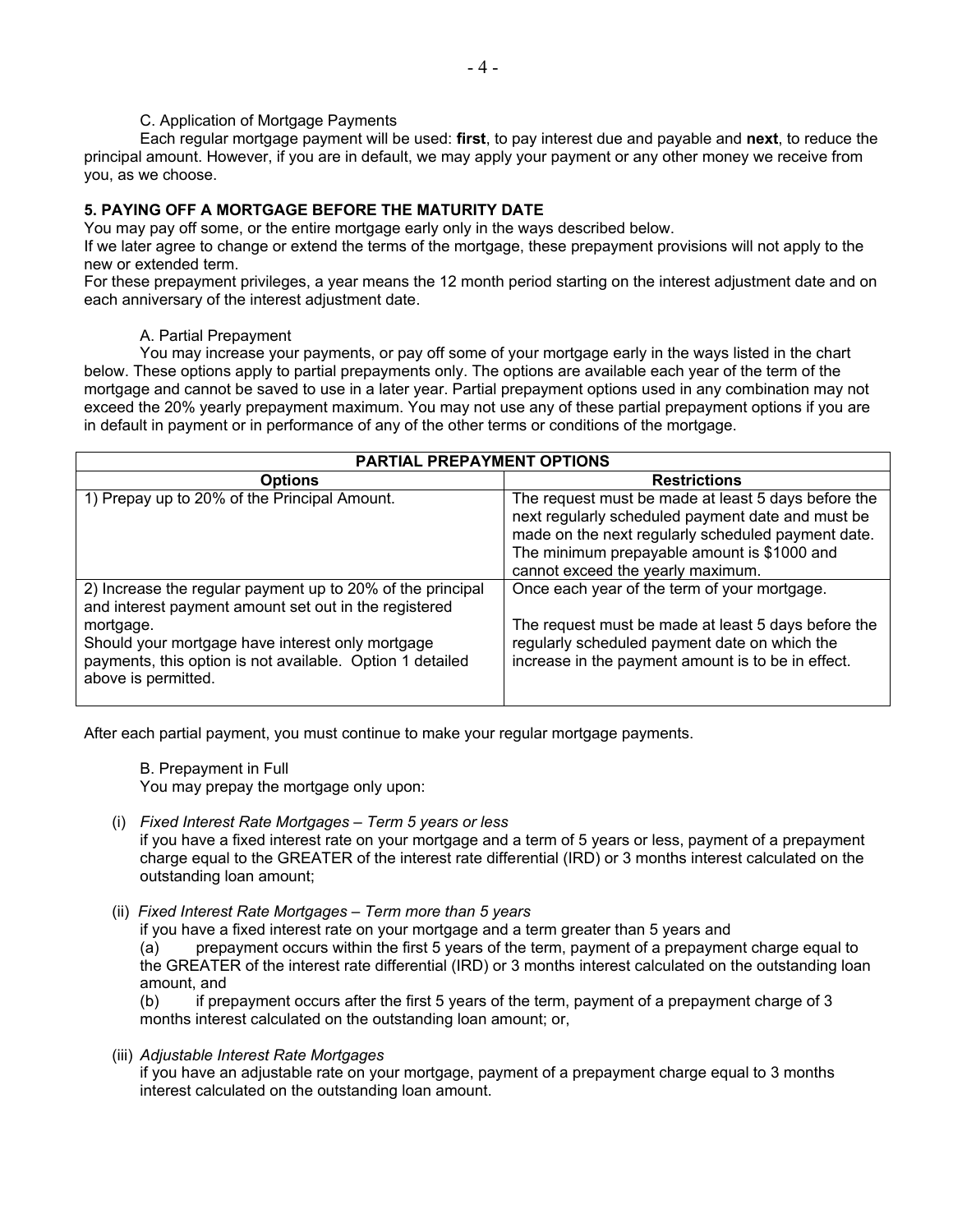#### C. Application of Mortgage Payments

Each regular mortgage payment will be used: **first**, to pay interest due and payable and **next**, to reduce the principal amount. However, if you are in default, we may apply your payment or any other money we receive from you, as we choose.

## **5. PAYING OFF A MORTGAGE BEFORE THE MATURITY DATE**

You may pay off some, or the entire mortgage early only in the ways described below.

If we later agree to change or extend the terms of the mortgage, these prepayment provisions will not apply to the new or extended term.

For these prepayment privileges, a year means the 12 month period starting on the interest adjustment date and on each anniversary of the interest adjustment date.

#### A. Partial Prepayment

You may increase your payments, or pay off some of your mortgage early in the ways listed in the chart below. These options apply to partial prepayments only. The options are available each year of the term of the mortgage and cannot be saved to use in a later year. Partial prepayment options used in any combination may not exceed the 20% yearly prepayment maximum. You may not use any of these partial prepayment options if you are in default in payment or in performance of any of the other terms or conditions of the mortgage.

| <b>PARTIAL PREPAYMENT OPTIONS</b>                                                                                                                                                                                                                 |                                                                                                                                                                                                                                                    |  |  |  |  |
|---------------------------------------------------------------------------------------------------------------------------------------------------------------------------------------------------------------------------------------------------|----------------------------------------------------------------------------------------------------------------------------------------------------------------------------------------------------------------------------------------------------|--|--|--|--|
| <b>Options</b>                                                                                                                                                                                                                                    | <b>Restrictions</b>                                                                                                                                                                                                                                |  |  |  |  |
| 1) Prepay up to 20% of the Principal Amount.                                                                                                                                                                                                      | The request must be made at least 5 days before the<br>next regularly scheduled payment date and must be<br>made on the next regularly scheduled payment date.<br>The minimum prepayable amount is \$1000 and<br>cannot exceed the yearly maximum. |  |  |  |  |
| 2) Increase the regular payment up to 20% of the principal<br>and interest payment amount set out in the registered<br>mortgage.<br>Should your mortgage have interest only mortgage<br>payments, this option is not available. Option 1 detailed | Once each year of the term of your mortgage.<br>The request must be made at least 5 days before the<br>regularly scheduled payment date on which the<br>increase in the payment amount is to be in effect.                                         |  |  |  |  |
| above is permitted.                                                                                                                                                                                                                               |                                                                                                                                                                                                                                                    |  |  |  |  |

After each partial payment, you must continue to make your regular mortgage payments.

B. Prepayment in Full You may prepay the mortgage only upon:

- (i) *Fixed Interest Rate Mortgages Term 5 years or less*  if you have a fixed interest rate on your mortgage and a term of 5 years or less, payment of a prepayment charge equal to the GREATER of the interest rate differential (IRD) or 3 months interest calculated on the outstanding loan amount;
- (ii) *Fixed Interest Rate Mortgages Term more than 5 years*

if you have a fixed interest rate on your mortgage and a term greater than 5 years and (a) prepayment occurs within the first 5 years of the term, payment of a prepayment charge equal to the GREATER of the interest rate differential (IRD) or 3 months interest calculated on the outstanding loan amount, and

(b) if prepayment occurs after the first 5 years of the term, payment of a prepayment charge of 3 months interest calculated on the outstanding loan amount; or,

(iii) *Adjustable Interest Rate Mortgages* 

if you have an adjustable rate on your mortgage, payment of a prepayment charge equal to 3 months interest calculated on the outstanding loan amount.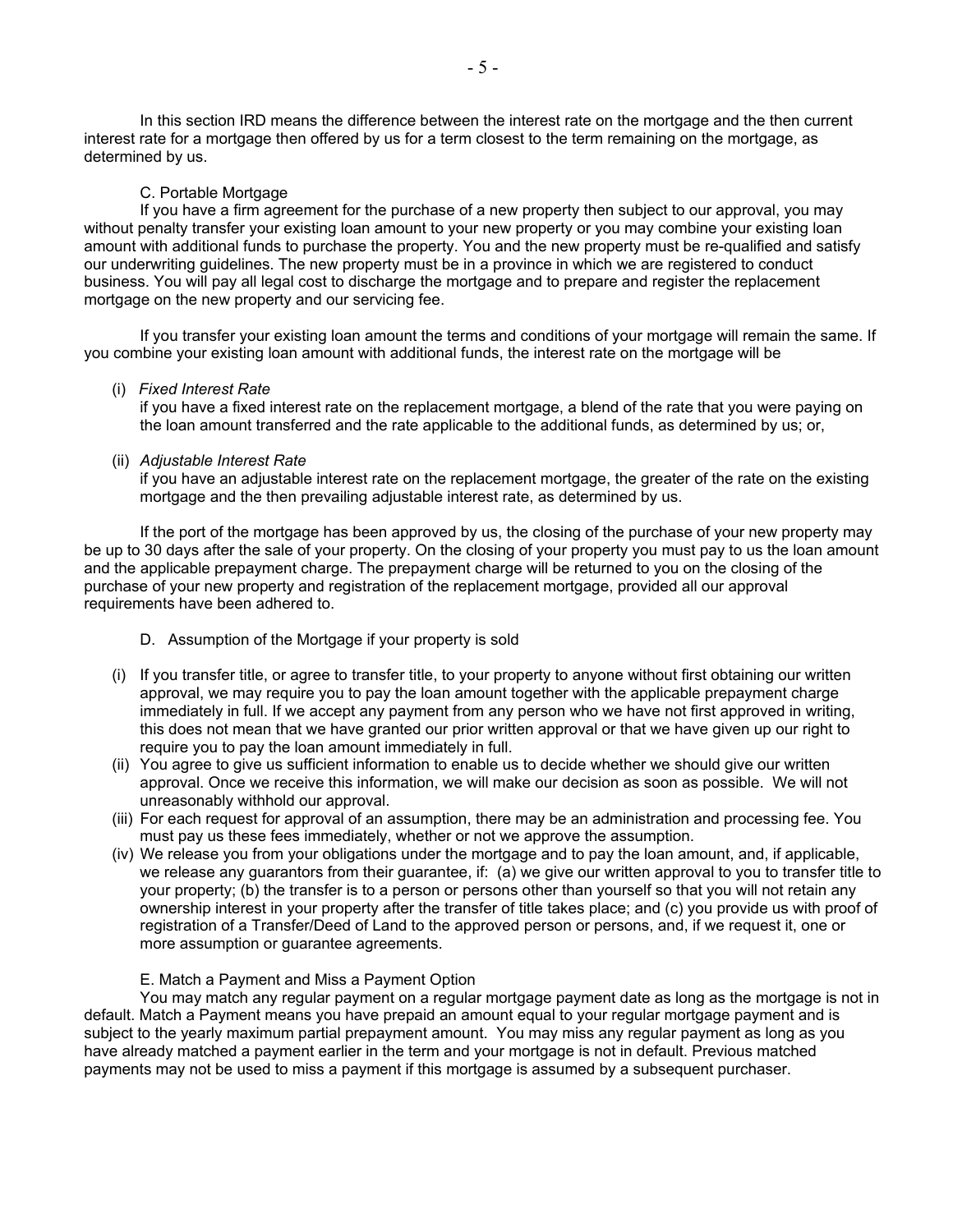In this section IRD means the difference between the interest rate on the mortgage and the then current interest rate for a mortgage then offered by us for a term closest to the term remaining on the mortgage, as determined by us.

#### C. Portable Mortgage

If you have a firm agreement for the purchase of a new property then subject to our approval, you may without penalty transfer your existing loan amount to your new property or you may combine your existing loan amount with additional funds to purchase the property. You and the new property must be re-qualified and satisfy our underwriting guidelines. The new property must be in a province in which we are registered to conduct business. You will pay all legal cost to discharge the mortgage and to prepare and register the replacement mortgage on the new property and our servicing fee.

If you transfer your existing loan amount the terms and conditions of your mortgage will remain the same. If you combine your existing loan amount with additional funds, the interest rate on the mortgage will be

#### (i) *Fixed Interest Rate*

if you have a fixed interest rate on the replacement mortgage, a blend of the rate that you were paying on the loan amount transferred and the rate applicable to the additional funds, as determined by us; or,

## (ii) *Adjustable Interest Rate*

if you have an adjustable interest rate on the replacement mortgage, the greater of the rate on the existing mortgage and the then prevailing adjustable interest rate, as determined by us.

If the port of the mortgage has been approved by us, the closing of the purchase of your new property may be up to 30 days after the sale of your property. On the closing of your property you must pay to us the loan amount and the applicable prepayment charge. The prepayment charge will be returned to you on the closing of the purchase of your new property and registration of the replacement mortgage, provided all our approval requirements have been adhered to.

- D. Assumption of the Mortgage if your property is sold
- (i) If you transfer title, or agree to transfer title, to your property to anyone without first obtaining our written approval, we may require you to pay the loan amount together with the applicable prepayment charge immediately in full. If we accept any payment from any person who we have not first approved in writing, this does not mean that we have granted our prior written approval or that we have given up our right to require you to pay the loan amount immediately in full.
- (ii) You agree to give us sufficient information to enable us to decide whether we should give our written approval. Once we receive this information, we will make our decision as soon as possible. We will not unreasonably withhold our approval.
- (iii) For each request for approval of an assumption, there may be an administration and processing fee. You must pay us these fees immediately, whether or not we approve the assumption.
- (iv) We release you from your obligations under the mortgage and to pay the loan amount, and, if applicable, we release any guarantors from their guarantee, if: (a) we give our written approval to you to transfer title to your property; (b) the transfer is to a person or persons other than yourself so that you will not retain any ownership interest in your property after the transfer of title takes place; and (c) you provide us with proof of registration of a Transfer/Deed of Land to the approved person or persons, and, if we request it, one or more assumption or guarantee agreements.

## E. Match a Payment and Miss a Payment Option

You may match any regular payment on a regular mortgage payment date as long as the mortgage is not in default. Match a Payment means you have prepaid an amount equal to your regular mortgage payment and is subject to the yearly maximum partial prepayment amount. You may miss any regular payment as long as you have already matched a payment earlier in the term and your mortgage is not in default. Previous matched payments may not be used to miss a payment if this mortgage is assumed by a subsequent purchaser.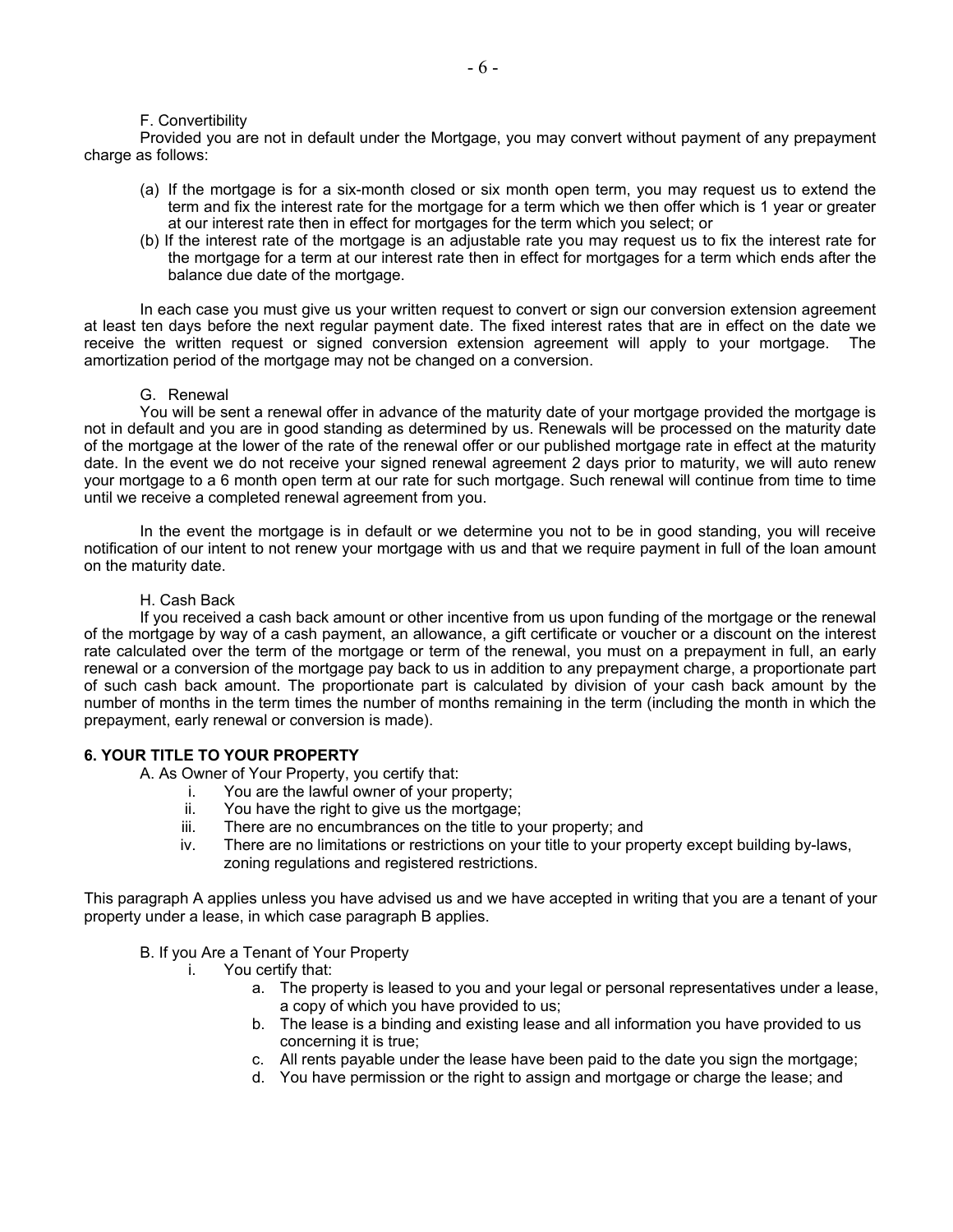#### F. Convertibility

Provided you are not in default under the Mortgage, you may convert without payment of any prepayment charge as follows:

- (a) If the mortgage is for a six-month closed or six month open term, you may request us to extend the term and fix the interest rate for the mortgage for a term which we then offer which is 1 year or greater at our interest rate then in effect for mortgages for the term which you select; or
- (b) If the interest rate of the mortgage is an adjustable rate you may request us to fix the interest rate for the mortgage for a term at our interest rate then in effect for mortgages for a term which ends after the balance due date of the mortgage.

In each case you must give us your written request to convert or sign our conversion extension agreement at least ten days before the next regular payment date. The fixed interest rates that are in effect on the date we receive the written request or signed conversion extension agreement will apply to your mortgage. The amortization period of the mortgage may not be changed on a conversion.

#### G. Renewal

You will be sent a renewal offer in advance of the maturity date of your mortgage provided the mortgage is not in default and you are in good standing as determined by us. Renewals will be processed on the maturity date of the mortgage at the lower of the rate of the renewal offer or our published mortgage rate in effect at the maturity date. In the event we do not receive your signed renewal agreement 2 days prior to maturity, we will auto renew your mortgage to a 6 month open term at our rate for such mortgage. Such renewal will continue from time to time until we receive a completed renewal agreement from you.

In the event the mortgage is in default or we determine you not to be in good standing, you will receive notification of our intent to not renew your mortgage with us and that we require payment in full of the loan amount on the maturity date.

#### H. Cash Back

 If you received a cash back amount or other incentive from us upon funding of the mortgage or the renewal of the mortgage by way of a cash payment, an allowance, a gift certificate or voucher or a discount on the interest rate calculated over the term of the mortgage or term of the renewal, you must on a prepayment in full, an early renewal or a conversion of the mortgage pay back to us in addition to any prepayment charge, a proportionate part of such cash back amount. The proportionate part is calculated by division of your cash back amount by the number of months in the term times the number of months remaining in the term (including the month in which the prepayment, early renewal or conversion is made).

#### **6. YOUR TITLE TO YOUR PROPERTY**

A. As Owner of Your Property, you certify that:

- i. You are the lawful owner of your property;
- ii. You have the right to give us the mortgage;
- iii. There are no encumbrances on the title to your property; and
- iv. There are no limitations or restrictions on your title to your property except building by-laws, zoning regulations and registered restrictions.

This paragraph A applies unless you have advised us and we have accepted in writing that you are a tenant of your property under a lease, in which case paragraph B applies.

#### B. If you Are a Tenant of Your Property

- i. You certify that:
	- a. The property is leased to you and your legal or personal representatives under a lease, a copy of which you have provided to us;
	- b. The lease is a binding and existing lease and all information you have provided to us concerning it is true;
	- c. All rents payable under the lease have been paid to the date you sign the mortgage;
	- d. You have permission or the right to assign and mortgage or charge the lease; and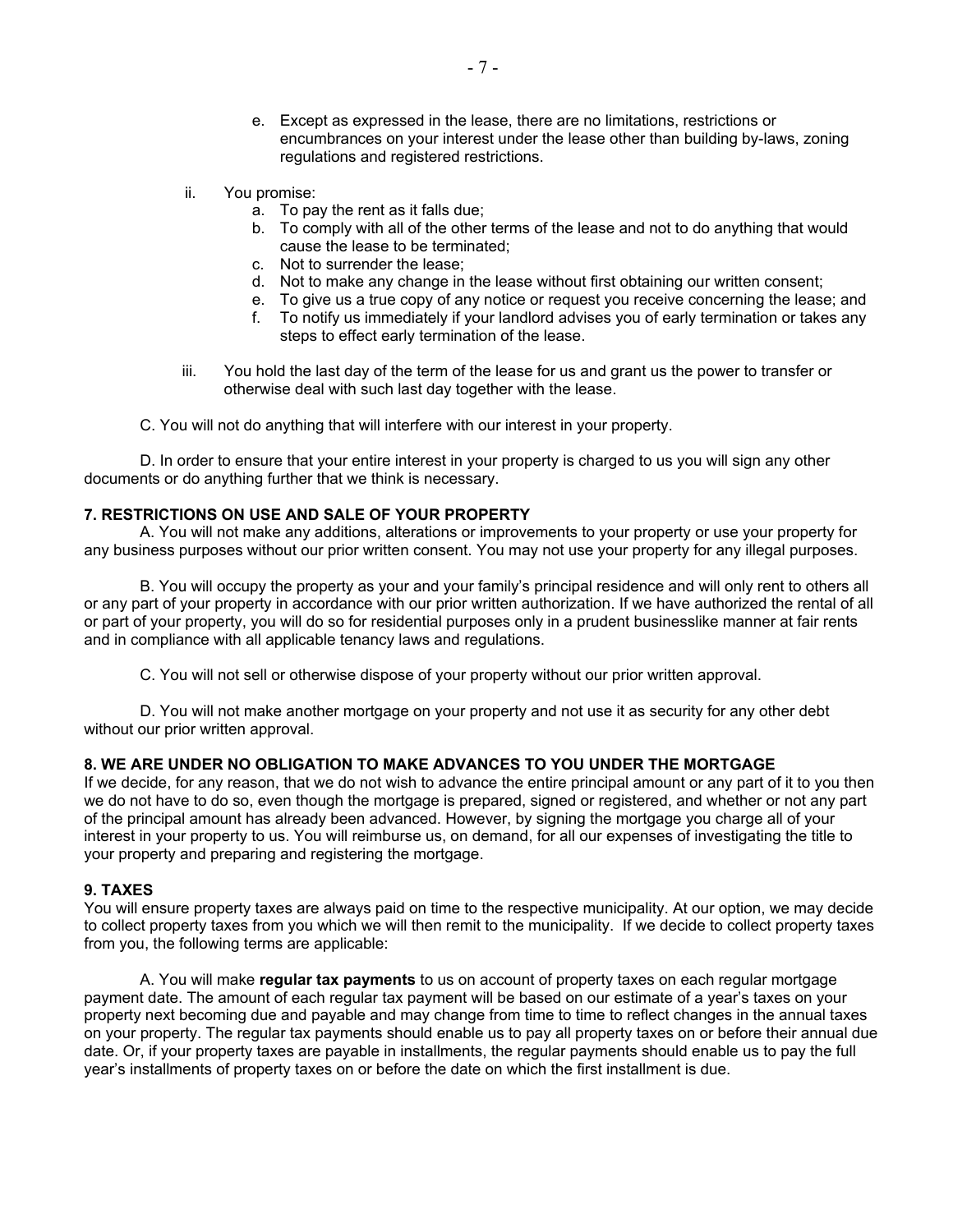- e. Except as expressed in the lease, there are no limitations, restrictions or encumbrances on your interest under the lease other than building by-laws, zoning regulations and registered restrictions.
- ii. You promise:
	- a. To pay the rent as it falls due;
	- b. To comply with all of the other terms of the lease and not to do anything that would cause the lease to be terminated;
	- c. Not to surrender the lease;
	- d. Not to make any change in the lease without first obtaining our written consent;
	- e. To give us a true copy of any notice or request you receive concerning the lease; and
	- f. To notify us immediately if your landlord advises you of early termination or takes any steps to effect early termination of the lease.
- iii. You hold the last day of the term of the lease for us and grant us the power to transfer or otherwise deal with such last day together with the lease.
- C. You will not do anything that will interfere with our interest in your property.

D. In order to ensure that your entire interest in your property is charged to us you will sign any other documents or do anything further that we think is necessary.

#### **7. RESTRICTIONS ON USE AND SALE OF YOUR PROPERTY**

A. You will not make any additions, alterations or improvements to your property or use your property for any business purposes without our prior written consent. You may not use your property for any illegal purposes.

B. You will occupy the property as your and your family's principal residence and will only rent to others all or any part of your property in accordance with our prior written authorization. If we have authorized the rental of all or part of your property, you will do so for residential purposes only in a prudent businesslike manner at fair rents and in compliance with all applicable tenancy laws and regulations.

C. You will not sell or otherwise dispose of your property without our prior written approval.

D. You will not make another mortgage on your property and not use it as security for any other debt without our prior written approval.

#### **8. WE ARE UNDER NO OBLIGATION TO MAKE ADVANCES TO YOU UNDER THE MORTGAGE**

If we decide, for any reason, that we do not wish to advance the entire principal amount or any part of it to you then we do not have to do so, even though the mortgage is prepared, signed or registered, and whether or not any part of the principal amount has already been advanced. However, by signing the mortgage you charge all of your interest in your property to us. You will reimburse us, on demand, for all our expenses of investigating the title to your property and preparing and registering the mortgage.

#### **9. TAXES**

You will ensure property taxes are always paid on time to the respective municipality. At our option, we may decide to collect property taxes from you which we will then remit to the municipality. If we decide to collect property taxes from you, the following terms are applicable:

A. You will make **regular tax payments** to us on account of property taxes on each regular mortgage payment date. The amount of each regular tax payment will be based on our estimate of a year's taxes on your property next becoming due and payable and may change from time to time to reflect changes in the annual taxes on your property. The regular tax payments should enable us to pay all property taxes on or before their annual due date. Or, if your property taxes are payable in installments, the regular payments should enable us to pay the full year's installments of property taxes on or before the date on which the first installment is due.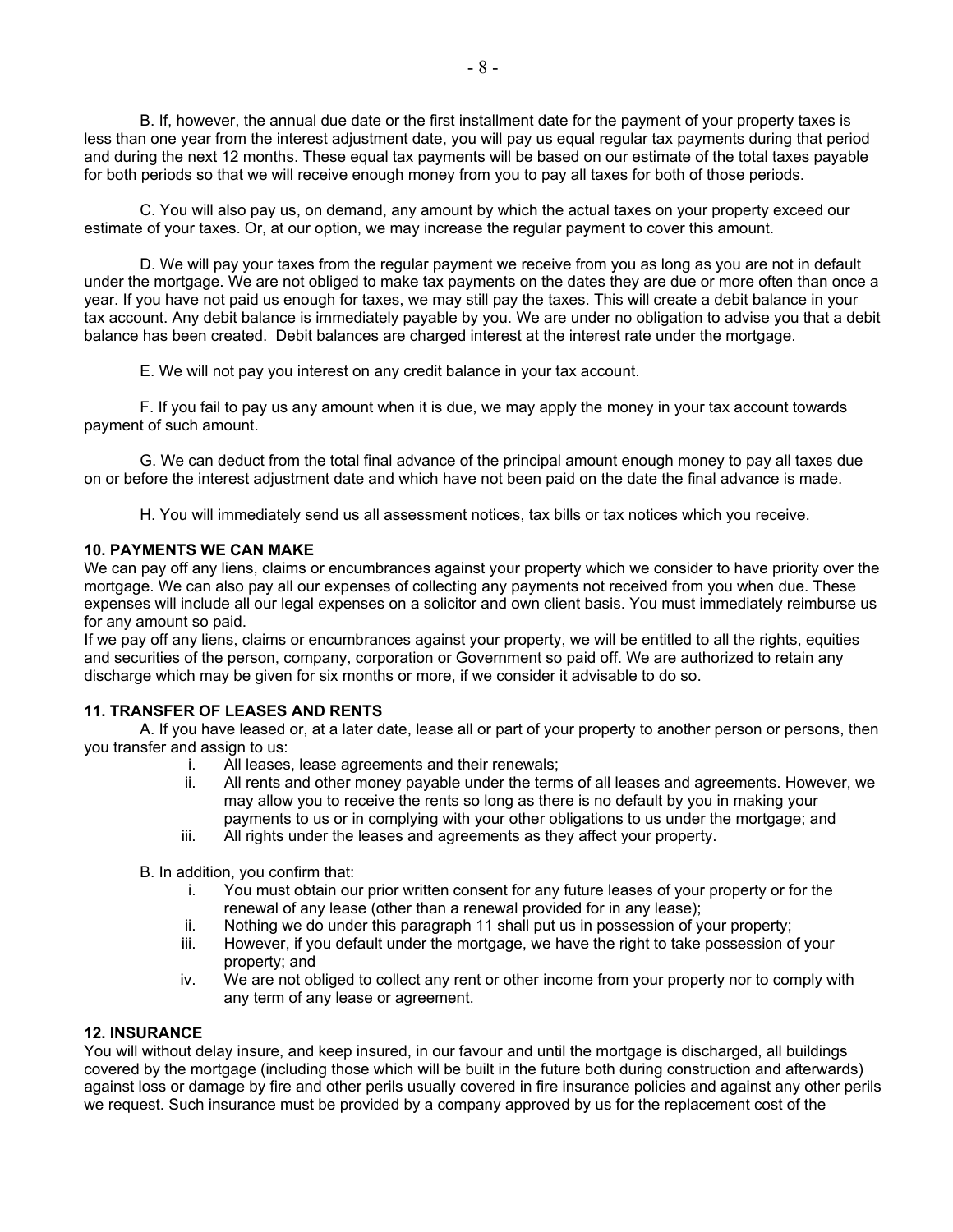B. If, however, the annual due date or the first installment date for the payment of your property taxes is less than one year from the interest adjustment date, you will pay us equal regular tax payments during that period and during the next 12 months. These equal tax payments will be based on our estimate of the total taxes payable for both periods so that we will receive enough money from you to pay all taxes for both of those periods.

C. You will also pay us, on demand, any amount by which the actual taxes on your property exceed our estimate of your taxes. Or, at our option, we may increase the regular payment to cover this amount.

D. We will pay your taxes from the regular payment we receive from you as long as you are not in default under the mortgage. We are not obliged to make tax payments on the dates they are due or more often than once a year. If you have not paid us enough for taxes, we may still pay the taxes. This will create a debit balance in your tax account. Any debit balance is immediately payable by you. We are under no obligation to advise you that a debit balance has been created. Debit balances are charged interest at the interest rate under the mortgage.

E. We will not pay you interest on any credit balance in your tax account.

F. If you fail to pay us any amount when it is due, we may apply the money in your tax account towards payment of such amount.

G. We can deduct from the total final advance of the principal amount enough money to pay all taxes due on or before the interest adjustment date and which have not been paid on the date the final advance is made.

H. You will immediately send us all assessment notices, tax bills or tax notices which you receive.

#### **10. PAYMENTS WE CAN MAKE**

We can pay off any liens, claims or encumbrances against your property which we consider to have priority over the mortgage. We can also pay all our expenses of collecting any payments not received from you when due. These expenses will include all our legal expenses on a solicitor and own client basis. You must immediately reimburse us for any amount so paid.

If we pay off any liens, claims or encumbrances against your property, we will be entitled to all the rights, equities and securities of the person, company, corporation or Government so paid off. We are authorized to retain any discharge which may be given for six months or more, if we consider it advisable to do so.

#### **11. TRANSFER OF LEASES AND RENTS**

A. If you have leased or, at a later date, lease all or part of your property to another person or persons, then you transfer and assign to us:

- i. All leases, lease agreements and their renewals;
- ii. All rents and other money payable under the terms of all leases and agreements. However, we may allow you to receive the rents so long as there is no default by you in making your payments to us or in complying with your other obligations to us under the mortgage; and
- iii. All rights under the leases and agreements as they affect your property.
- B. In addition, you confirm that:
	- i. You must obtain our prior written consent for any future leases of your property or for the renewal of any lease (other than a renewal provided for in any lease);
	- ii. Nothing we do under this paragraph 11 shall put us in possession of your property;
	- iii. However, if you default under the mortgage, we have the right to take possession of your property; and
	- iv. We are not obliged to collect any rent or other income from your property nor to comply with any term of any lease or agreement.

#### **12. INSURANCE**

You will without delay insure, and keep insured, in our favour and until the mortgage is discharged, all buildings covered by the mortgage (including those which will be built in the future both during construction and afterwards) against loss or damage by fire and other perils usually covered in fire insurance policies and against any other perils we request. Such insurance must be provided by a company approved by us for the replacement cost of the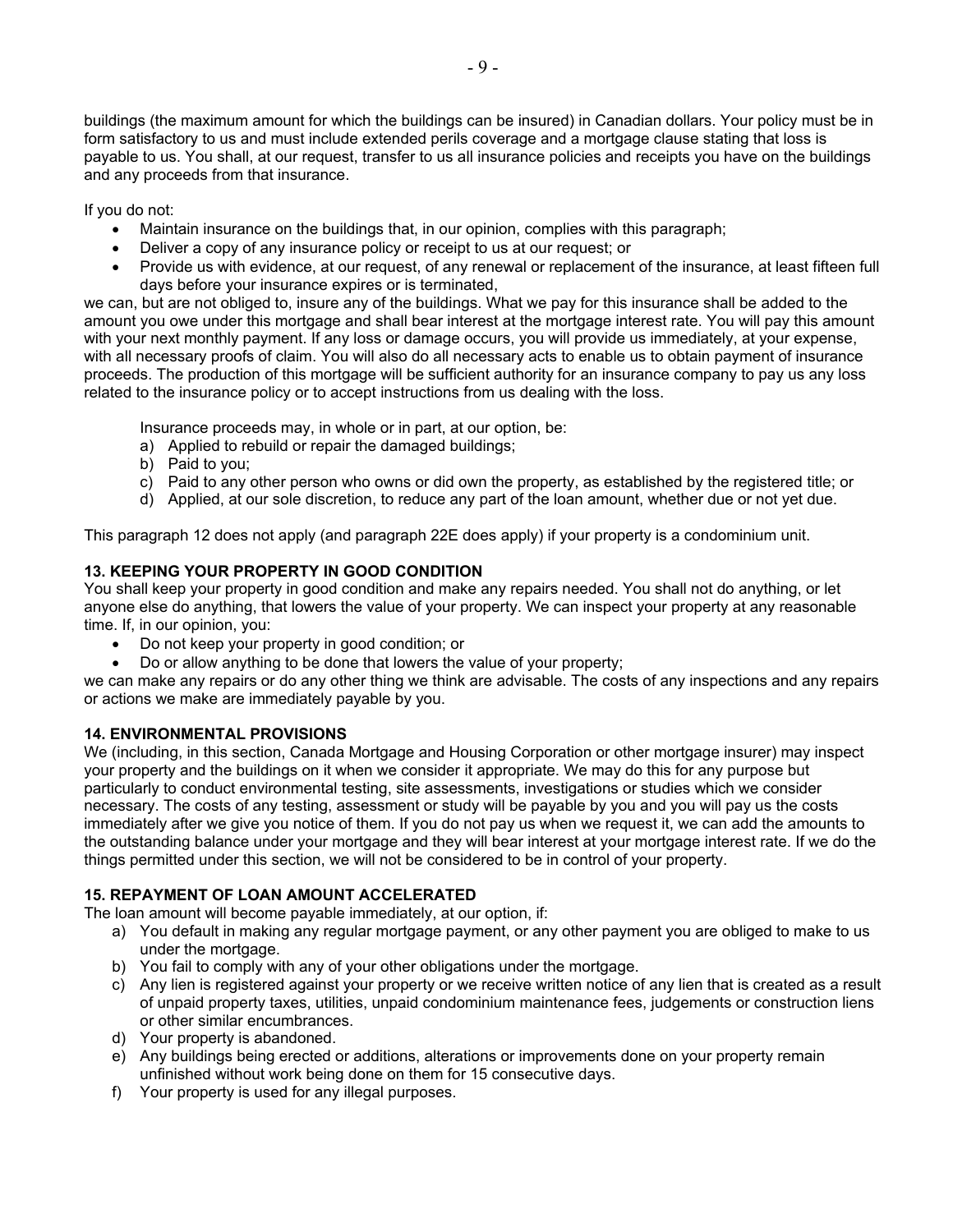buildings (the maximum amount for which the buildings can be insured) in Canadian dollars. Your policy must be in form satisfactory to us and must include extended perils coverage and a mortgage clause stating that loss is payable to us. You shall, at our request, transfer to us all insurance policies and receipts you have on the buildings and any proceeds from that insurance.

If you do not:

- Maintain insurance on the buildings that, in our opinion, complies with this paragraph;
- Deliver a copy of any insurance policy or receipt to us at our request; or
- Provide us with evidence, at our request, of any renewal or replacement of the insurance, at least fifteen full days before your insurance expires or is terminated,

we can, but are not obliged to, insure any of the buildings. What we pay for this insurance shall be added to the amount you owe under this mortgage and shall bear interest at the mortgage interest rate. You will pay this amount with your next monthly payment. If any loss or damage occurs, you will provide us immediately, at your expense, with all necessary proofs of claim. You will also do all necessary acts to enable us to obtain payment of insurance proceeds. The production of this mortgage will be sufficient authority for an insurance company to pay us any loss related to the insurance policy or to accept instructions from us dealing with the loss.

Insurance proceeds may, in whole or in part, at our option, be:

- a) Applied to rebuild or repair the damaged buildings;
- b) Paid to you;
- c) Paid to any other person who owns or did own the property, as established by the registered title; or
- d) Applied, at our sole discretion, to reduce any part of the loan amount, whether due or not yet due.

This paragraph 12 does not apply (and paragraph 22E does apply) if your property is a condominium unit.

# **13. KEEPING YOUR PROPERTY IN GOOD CONDITION**

You shall keep your property in good condition and make any repairs needed. You shall not do anything, or let anyone else do anything, that lowers the value of your property. We can inspect your property at any reasonable time. If, in our opinion, you:

- Do not keep your property in good condition; or
- Do or allow anything to be done that lowers the value of your property;

we can make any repairs or do any other thing we think are advisable. The costs of any inspections and any repairs or actions we make are immediately payable by you.

## **14. ENVIRONMENTAL PROVISIONS**

We (including, in this section, Canada Mortgage and Housing Corporation or other mortgage insurer) may inspect your property and the buildings on it when we consider it appropriate. We may do this for any purpose but particularly to conduct environmental testing, site assessments, investigations or studies which we consider necessary. The costs of any testing, assessment or study will be payable by you and you will pay us the costs immediately after we give you notice of them. If you do not pay us when we request it, we can add the amounts to the outstanding balance under your mortgage and they will bear interest at your mortgage interest rate. If we do the things permitted under this section, we will not be considered to be in control of your property.

# **15. REPAYMENT OF LOAN AMOUNT ACCELERATED**

The loan amount will become payable immediately, at our option, if:

- a) You default in making any regular mortgage payment, or any other payment you are obliged to make to us under the mortgage.
- b) You fail to comply with any of your other obligations under the mortgage.
- c) Any lien is registered against your property or we receive written notice of any lien that is created as a result of unpaid property taxes, utilities, unpaid condominium maintenance fees, judgements or construction liens or other similar encumbrances.
- d) Your property is abandoned.
- e) Any buildings being erected or additions, alterations or improvements done on your property remain unfinished without work being done on them for 15 consecutive days.
- f) Your property is used for any illegal purposes.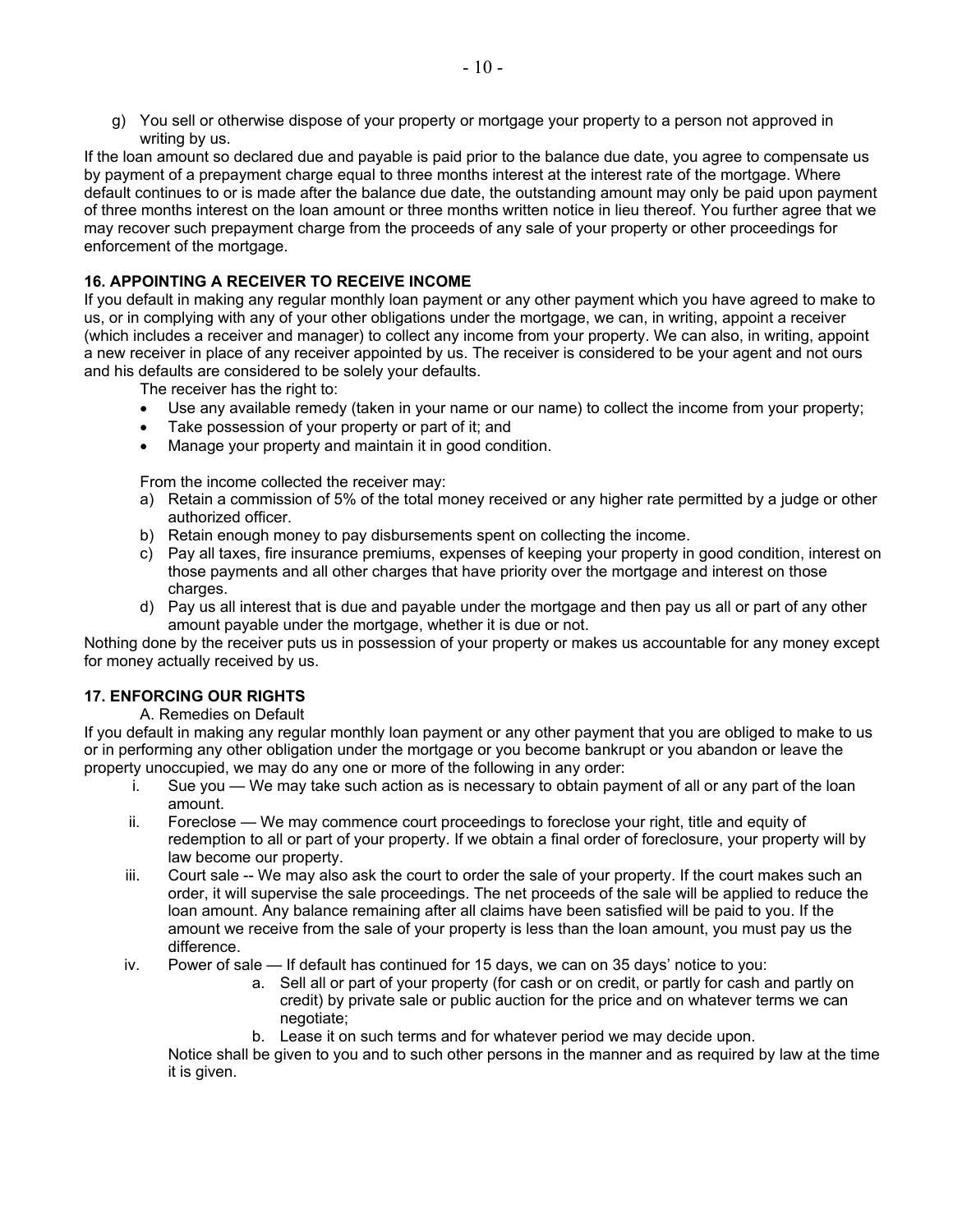g) You sell or otherwise dispose of your property or mortgage your property to a person not approved in writing by us.

If the loan amount so declared due and payable is paid prior to the balance due date, you agree to compensate us by payment of a prepayment charge equal to three months interest at the interest rate of the mortgage. Where default continues to or is made after the balance due date, the outstanding amount may only be paid upon payment of three months interest on the loan amount or three months written notice in lieu thereof. You further agree that we may recover such prepayment charge from the proceeds of any sale of your property or other proceedings for enforcement of the mortgage.

# **16. APPOINTING A RECEIVER TO RECEIVE INCOME**

If you default in making any regular monthly loan payment or any other payment which you have agreed to make to us, or in complying with any of your other obligations under the mortgage, we can, in writing, appoint a receiver (which includes a receiver and manager) to collect any income from your property. We can also, in writing, appoint a new receiver in place of any receiver appointed by us. The receiver is considered to be your agent and not ours and his defaults are considered to be solely your defaults.

The receiver has the right to:

- Use any available remedy (taken in your name or our name) to collect the income from your property;
- Take possession of your property or part of it; and
- Manage your property and maintain it in good condition.

From the income collected the receiver may:

- a) Retain a commission of 5% of the total money received or any higher rate permitted by a judge or other authorized officer.
- b) Retain enough money to pay disbursements spent on collecting the income.
- c) Pay all taxes, fire insurance premiums, expenses of keeping your property in good condition, interest on those payments and all other charges that have priority over the mortgage and interest on those charges.
- d) Pay us all interest that is due and payable under the mortgage and then pay us all or part of any other amount payable under the mortgage, whether it is due or not.

Nothing done by the receiver puts us in possession of your property or makes us accountable for any money except for money actually received by us.

# **17. ENFORCING OUR RIGHTS**

#### A. Remedies on Default

If you default in making any regular monthly loan payment or any other payment that you are obliged to make to us or in performing any other obligation under the mortgage or you become bankrupt or you abandon or leave the property unoccupied, we may do any one or more of the following in any order:

- i. Sue you We may take such action as is necessary to obtain payment of all or any part of the loan amount.
- ii. Foreclose We may commence court proceedings to foreclose your right, title and equity of redemption to all or part of your property. If we obtain a final order of foreclosure, your property will by law become our property.
- iii. Court sale -- We may also ask the court to order the sale of your property. If the court makes such an order, it will supervise the sale proceedings. The net proceeds of the sale will be applied to reduce the loan amount. Any balance remaining after all claims have been satisfied will be paid to you. If the amount we receive from the sale of your property is less than the loan amount, you must pay us the difference.
- iv. Power of sale If default has continued for 15 days, we can on 35 days' notice to you:
	- a. Sell all or part of your property (for cash or on credit, or partly for cash and partly on credit) by private sale or public auction for the price and on whatever terms we can negotiate;
	- b. Lease it on such terms and for whatever period we may decide upon.

Notice shall be given to you and to such other persons in the manner and as required by law at the time it is given.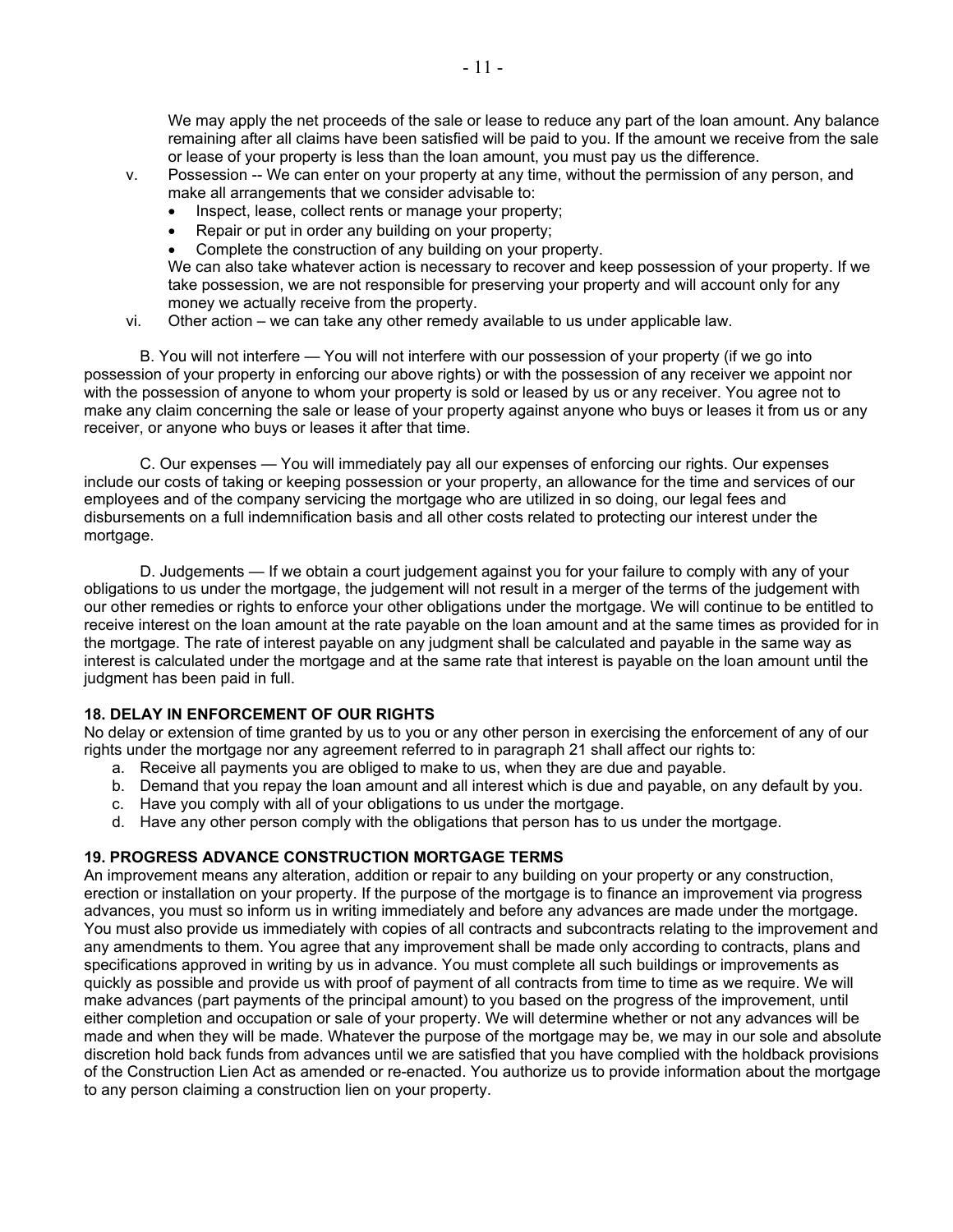We may apply the net proceeds of the sale or lease to reduce any part of the loan amount. Any balance remaining after all claims have been satisfied will be paid to you. If the amount we receive from the sale or lease of your property is less than the loan amount, you must pay us the difference.

- v. Possession -- We can enter on your property at any time, without the permission of any person, and make all arrangements that we consider advisable to:
	- Inspect, lease, collect rents or manage your property;
	- Repair or put in order any building on your property;
	- Complete the construction of any building on your property.

We can also take whatever action is necessary to recover and keep possession of your property. If we take possession, we are not responsible for preserving your property and will account only for any money we actually receive from the property.

vi. Other action – we can take any other remedy available to us under applicable law.

B. You will not interfere — You will not interfere with our possession of your property (if we go into possession of your property in enforcing our above rights) or with the possession of any receiver we appoint nor with the possession of anyone to whom your property is sold or leased by us or any receiver. You agree not to make any claim concerning the sale or lease of your property against anyone who buys or leases it from us or any receiver, or anyone who buys or leases it after that time.

C. Our expenses — You will immediately pay all our expenses of enforcing our rights. Our expenses include our costs of taking or keeping possession or your property, an allowance for the time and services of our employees and of the company servicing the mortgage who are utilized in so doing, our legal fees and disbursements on a full indemnification basis and all other costs related to protecting our interest under the mortgage.

D. Judgements — If we obtain a court judgement against you for your failure to comply with any of your obligations to us under the mortgage, the judgement will not result in a merger of the terms of the judgement with our other remedies or rights to enforce your other obligations under the mortgage. We will continue to be entitled to receive interest on the loan amount at the rate payable on the loan amount and at the same times as provided for in the mortgage. The rate of interest payable on any judgment shall be calculated and payable in the same way as interest is calculated under the mortgage and at the same rate that interest is payable on the loan amount until the judgment has been paid in full.

## **18. DELAY IN ENFORCEMENT OF OUR RIGHTS**

No delay or extension of time granted by us to you or any other person in exercising the enforcement of any of our rights under the mortgage nor any agreement referred to in paragraph 21 shall affect our rights to:

- a. Receive all payments you are obliged to make to us, when they are due and payable.
- b. Demand that you repay the loan amount and all interest which is due and payable, on any default by you.
- c. Have you comply with all of your obligations to us under the mortgage.
- d. Have any other person comply with the obligations that person has to us under the mortgage.

## **19. PROGRESS ADVANCE CONSTRUCTION MORTGAGE TERMS**

An improvement means any alteration, addition or repair to any building on your property or any construction, erection or installation on your property. If the purpose of the mortgage is to finance an improvement via progress advances, you must so inform us in writing immediately and before any advances are made under the mortgage. You must also provide us immediately with copies of all contracts and subcontracts relating to the improvement and any amendments to them. You agree that any improvement shall be made only according to contracts, plans and specifications approved in writing by us in advance. You must complete all such buildings or improvements as quickly as possible and provide us with proof of payment of all contracts from time to time as we require. We will make advances (part payments of the principal amount) to you based on the progress of the improvement, until either completion and occupation or sale of your property. We will determine whether or not any advances will be made and when they will be made. Whatever the purpose of the mortgage may be, we may in our sole and absolute discretion hold back funds from advances until we are satisfied that you have complied with the holdback provisions of the Construction Lien Act as amended or re-enacted. You authorize us to provide information about the mortgage to any person claiming a construction lien on your property.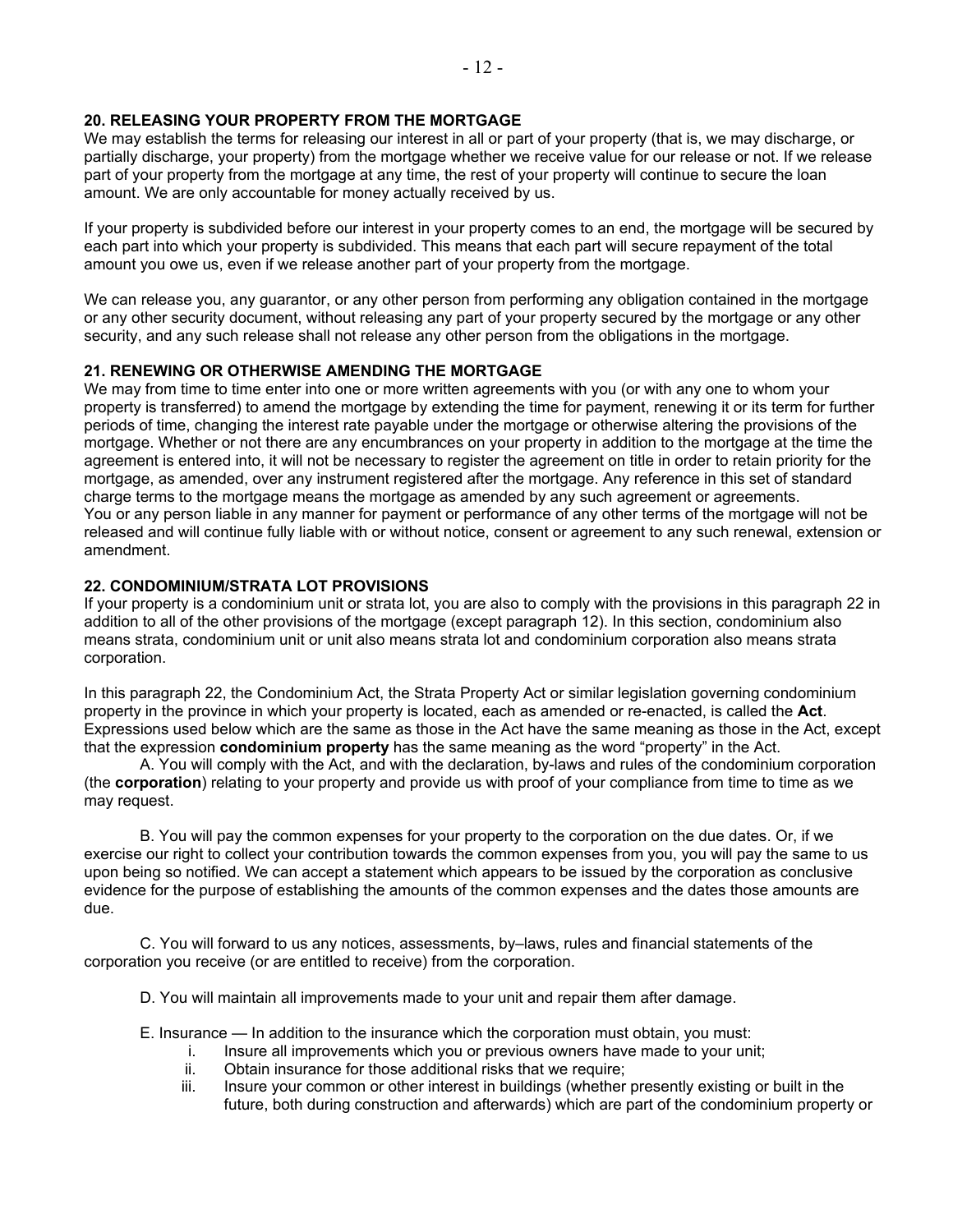## **20. RELEASING YOUR PROPERTY FROM THE MORTGAGE**

We may establish the terms for releasing our interest in all or part of your property (that is, we may discharge, or partially discharge, your property) from the mortgage whether we receive value for our release or not. If we release part of your property from the mortgage at any time, the rest of your property will continue to secure the loan amount. We are only accountable for money actually received by us.

If your property is subdivided before our interest in your property comes to an end, the mortgage will be secured by each part into which your property is subdivided. This means that each part will secure repayment of the total amount you owe us, even if we release another part of your property from the mortgage.

We can release you, any guarantor, or any other person from performing any obligation contained in the mortgage or any other security document, without releasing any part of your property secured by the mortgage or any other security, and any such release shall not release any other person from the obligations in the mortgage.

## **21. RENEWING OR OTHERWISE AMENDING THE MORTGAGE**

We may from time to time enter into one or more written agreements with you (or with any one to whom your property is transferred) to amend the mortgage by extending the time for payment, renewing it or its term for further periods of time, changing the interest rate payable under the mortgage or otherwise altering the provisions of the mortgage. Whether or not there are any encumbrances on your property in addition to the mortgage at the time the agreement is entered into, it will not be necessary to register the agreement on title in order to retain priority for the mortgage, as amended, over any instrument registered after the mortgage. Any reference in this set of standard charge terms to the mortgage means the mortgage as amended by any such agreement or agreements. You or any person liable in any manner for payment or performance of any other terms of the mortgage will not be released and will continue fully liable with or without notice, consent or agreement to any such renewal, extension or amendment.

## **22. CONDOMINIUM/STRATA LOT PROVISIONS**

If your property is a condominium unit or strata lot, you are also to comply with the provisions in this paragraph 22 in addition to all of the other provisions of the mortgage (except paragraph 12). In this section, condominium also means strata, condominium unit or unit also means strata lot and condominium corporation also means strata corporation.

In this paragraph 22, the Condominium Act, the Strata Property Act or similar legislation governing condominium property in the province in which your property is located, each as amended or re-enacted, is called the **Act**. Expressions used below which are the same as those in the Act have the same meaning as those in the Act, except that the expression **condominium property** has the same meaning as the word "property" in the Act.

A. You will comply with the Act, and with the declaration, by-laws and rules of the condominium corporation (the **corporation**) relating to your property and provide us with proof of your compliance from time to time as we may request.

B. You will pay the common expenses for your property to the corporation on the due dates. Or, if we exercise our right to collect your contribution towards the common expenses from you, you will pay the same to us upon being so notified. We can accept a statement which appears to be issued by the corporation as conclusive evidence for the purpose of establishing the amounts of the common expenses and the dates those amounts are due.

C. You will forward to us any notices, assessments, by–laws, rules and financial statements of the corporation you receive (or are entitled to receive) from the corporation.

D. You will maintain all improvements made to your unit and repair them after damage.

E. Insurance — In addition to the insurance which the corporation must obtain, you must:

- i. Insure all improvements which you or previous owners have made to your unit;
- ii. Obtain insurance for those additional risks that we require;
- iii. Insure your common or other interest in buildings (whether presently existing or built in the future, both during construction and afterwards) which are part of the condominium property or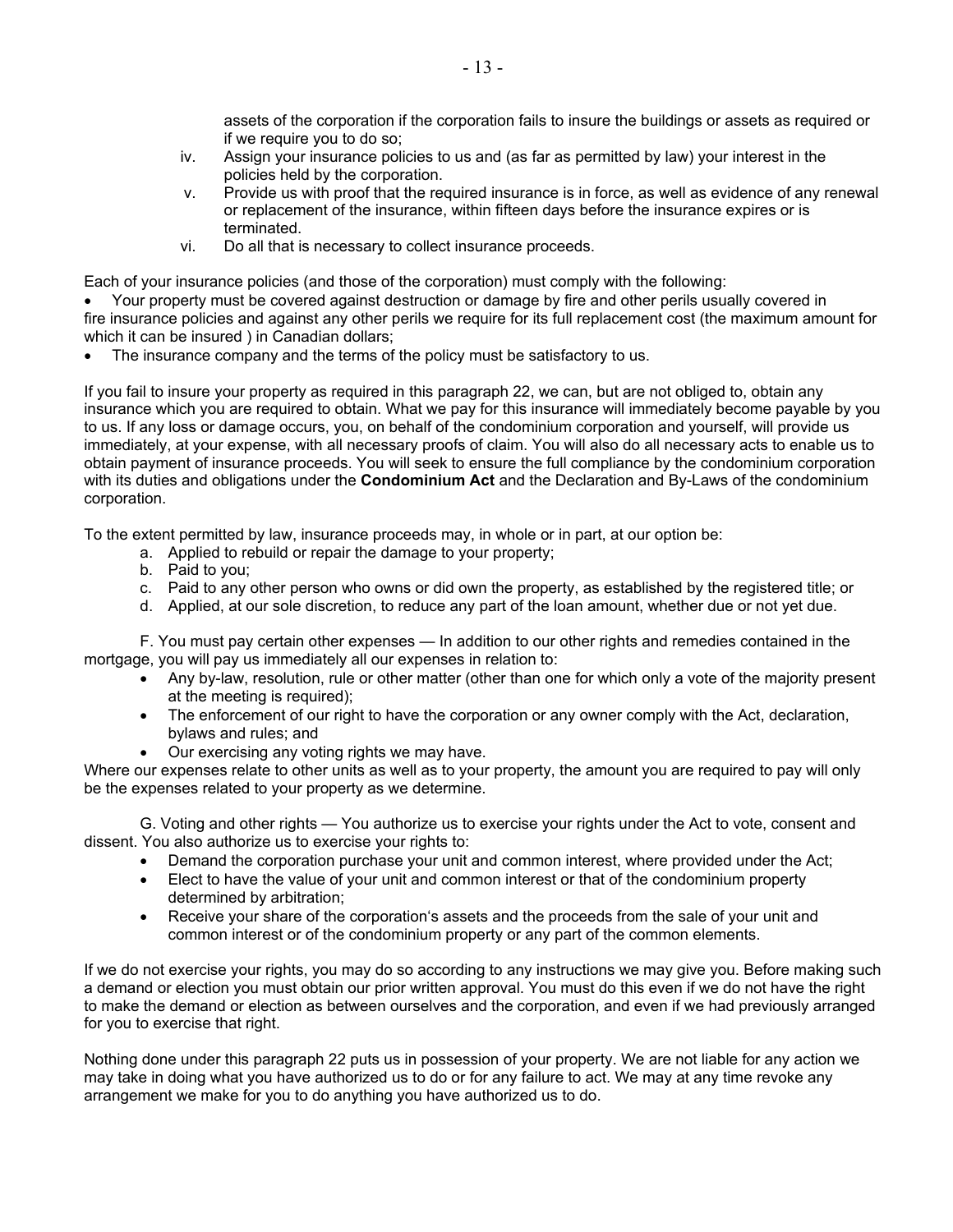assets of the corporation if the corporation fails to insure the buildings or assets as required or if we require you to do so;

- iv. Assign your insurance policies to us and (as far as permitted by law) your interest in the policies held by the corporation.
- v. Provide us with proof that the required insurance is in force, as well as evidence of any renewal or replacement of the insurance, within fifteen days before the insurance expires or is terminated.
- vi. Do all that is necessary to collect insurance proceeds.

Each of your insurance policies (and those of the corporation) must comply with the following:

• Your property must be covered against destruction or damage by fire and other perils usually covered in fire insurance policies and against any other perils we require for its full replacement cost (the maximum amount for which it can be insured ) in Canadian dollars;

The insurance company and the terms of the policy must be satisfactory to us.

If you fail to insure your property as required in this paragraph 22, we can, but are not obliged to, obtain any insurance which you are required to obtain. What we pay for this insurance will immediately become payable by you to us. If any loss or damage occurs, you, on behalf of the condominium corporation and yourself, will provide us immediately, at your expense, with all necessary proofs of claim. You will also do all necessary acts to enable us to obtain payment of insurance proceeds. You will seek to ensure the full compliance by the condominium corporation with its duties and obligations under the **Condominium Act** and the Declaration and By-Laws of the condominium corporation.

To the extent permitted by law, insurance proceeds may, in whole or in part, at our option be:

- a. Applied to rebuild or repair the damage to your property;
- b. Paid to you;
- c. Paid to any other person who owns or did own the property, as established by the registered title; or
- d. Applied, at our sole discretion, to reduce any part of the loan amount, whether due or not yet due.

F. You must pay certain other expenses — In addition to our other rights and remedies contained in the mortgage, you will pay us immediately all our expenses in relation to:

- Any by-law, resolution, rule or other matter (other than one for which only a vote of the majority present at the meeting is required);
- The enforcement of our right to have the corporation or any owner comply with the Act, declaration, bylaws and rules; and
- Our exercising any voting rights we may have.

Where our expenses relate to other units as well as to your property, the amount you are required to pay will only be the expenses related to your property as we determine.

G. Voting and other rights — You authorize us to exercise your rights under the Act to vote, consent and dissent. You also authorize us to exercise your rights to:

- Demand the corporation purchase your unit and common interest, where provided under the Act;
- Elect to have the value of your unit and common interest or that of the condominium property determined by arbitration;
- Receive your share of the corporation's assets and the proceeds from the sale of your unit and common interest or of the condominium property or any part of the common elements.

If we do not exercise your rights, you may do so according to any instructions we may give you. Before making such a demand or election you must obtain our prior written approval. You must do this even if we do not have the right to make the demand or election as between ourselves and the corporation, and even if we had previously arranged for you to exercise that right.

Nothing done under this paragraph 22 puts us in possession of your property. We are not liable for any action we may take in doing what you have authorized us to do or for any failure to act. We may at any time revoke any arrangement we make for you to do anything you have authorized us to do.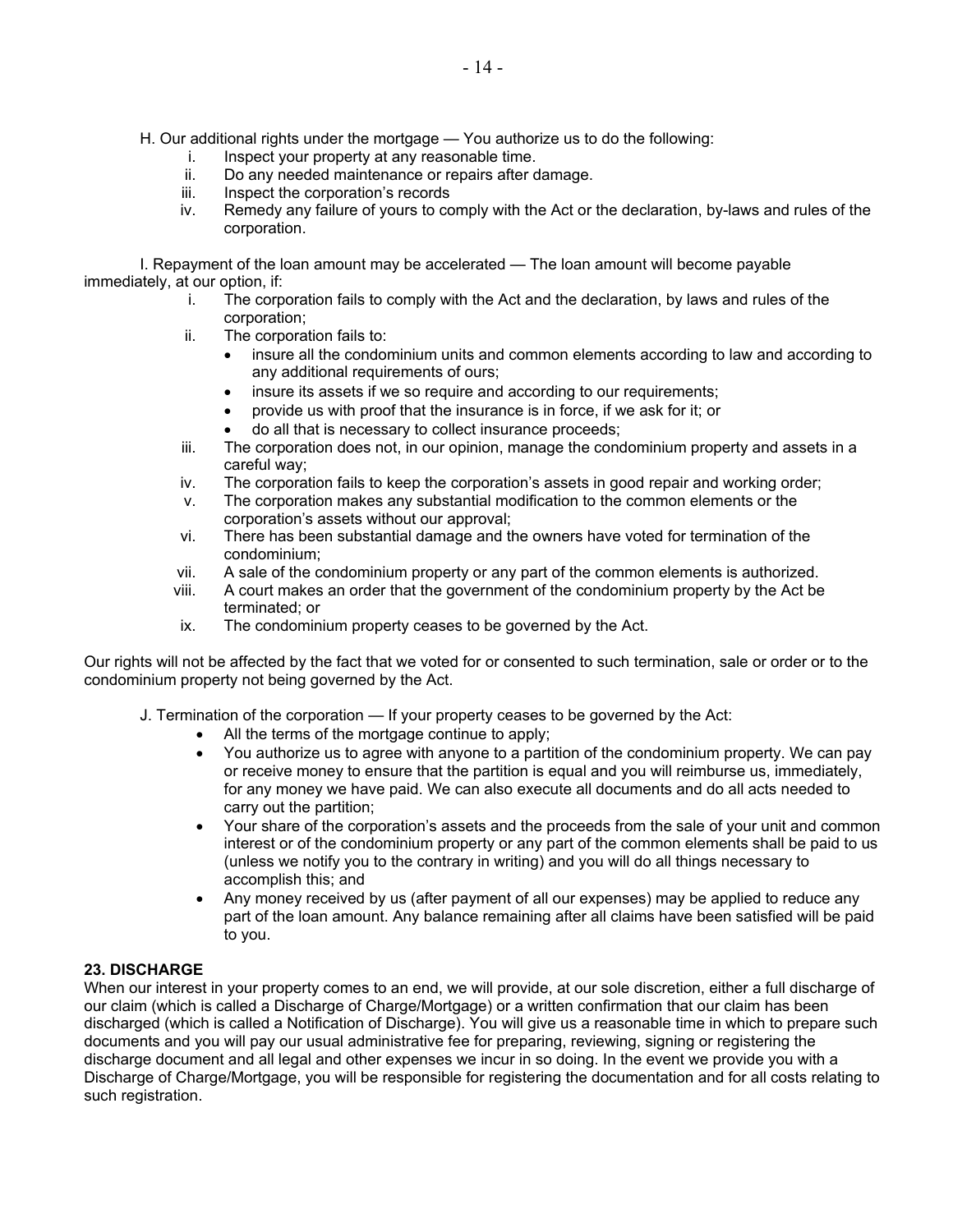- H. Our additional rights under the mortgage You authorize us to do the following:
	- i. Inspect your property at any reasonable time.
	- ii. Do any needed maintenance or repairs after damage.
	- iii. Inspect the corporation's records
	- iv. Remedy any failure of yours to comply with the Act or the declaration, by-laws and rules of the corporation.

I. Repayment of the loan amount may be accelerated — The loan amount will become payable immediately, at our option, if:

- i. The corporation fails to comply with the Act and the declaration, by laws and rules of the corporation;
- ii. The corporation fails to:
	- insure all the condominium units and common elements according to law and according to any additional requirements of ours;
	- insure its assets if we so require and according to our requirements;
	- provide us with proof that the insurance is in force, if we ask for it; or
	- do all that is necessary to collect insurance proceeds;
- iii. The corporation does not, in our opinion, manage the condominium property and assets in a careful way;
- iv. The corporation fails to keep the corporation's assets in good repair and working order;
- v. The corporation makes any substantial modification to the common elements or the corporation's assets without our approval;
- vi. There has been substantial damage and the owners have voted for termination of the condominium;
- vii. A sale of the condominium property or any part of the common elements is authorized.
- viii. A court makes an order that the government of the condominium property by the Act be terminated; or
- ix. The condominium property ceases to be governed by the Act.

Our rights will not be affected by the fact that we voted for or consented to such termination, sale or order or to the condominium property not being governed by the Act.

- J. Termination of the corporation If your property ceases to be governed by the Act:
	- All the terms of the mortgage continue to apply;
		- You authorize us to agree with anyone to a partition of the condominium property. We can pay or receive money to ensure that the partition is equal and you will reimburse us, immediately, for any money we have paid. We can also execute all documents and do all acts needed to carry out the partition;
		- Your share of the corporation's assets and the proceeds from the sale of your unit and common interest or of the condominium property or any part of the common elements shall be paid to us (unless we notify you to the contrary in writing) and you will do all things necessary to accomplish this; and
		- Any money received by us (after payment of all our expenses) may be applied to reduce any part of the loan amount. Any balance remaining after all claims have been satisfied will be paid to you.

## **23. DISCHARGE**

When our interest in your property comes to an end, we will provide, at our sole discretion, either a full discharge of our claim (which is called a Discharge of Charge/Mortgage) or a written confirmation that our claim has been discharged (which is called a Notification of Discharge). You will give us a reasonable time in which to prepare such documents and you will pay our usual administrative fee for preparing, reviewing, signing or registering the discharge document and all legal and other expenses we incur in so doing. In the event we provide you with a Discharge of Charge/Mortgage, you will be responsible for registering the documentation and for all costs relating to such registration.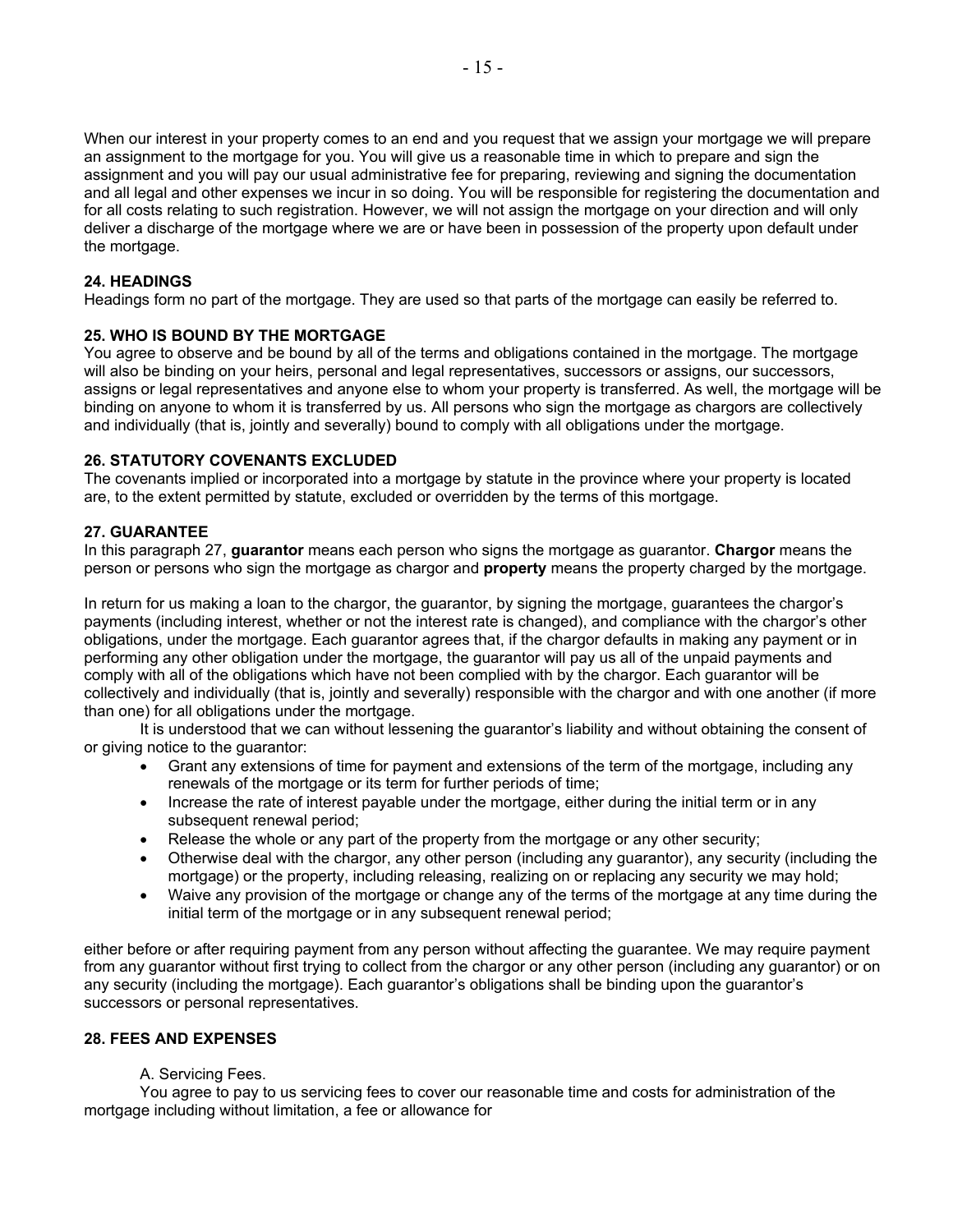When our interest in your property comes to an end and you request that we assign your mortgage we will prepare an assignment to the mortgage for you. You will give us a reasonable time in which to prepare and sign the assignment and you will pay our usual administrative fee for preparing, reviewing and signing the documentation and all legal and other expenses we incur in so doing. You will be responsible for registering the documentation and for all costs relating to such registration. However, we will not assign the mortgage on your direction and will only deliver a discharge of the mortgage where we are or have been in possession of the property upon default under the mortgage.

## **24. HEADINGS**

Headings form no part of the mortgage. They are used so that parts of the mortgage can easily be referred to.

## **25. WHO IS BOUND BY THE MORTGAGE**

You agree to observe and be bound by all of the terms and obligations contained in the mortgage. The mortgage will also be binding on your heirs, personal and legal representatives, successors or assigns, our successors, assigns or legal representatives and anyone else to whom your property is transferred. As well, the mortgage will be binding on anyone to whom it is transferred by us. All persons who sign the mortgage as chargors are collectively and individually (that is, jointly and severally) bound to comply with all obligations under the mortgage.

## **26. STATUTORY COVENANTS EXCLUDED**

The covenants implied or incorporated into a mortgage by statute in the province where your property is located are, to the extent permitted by statute, excluded or overridden by the terms of this mortgage.

## **27. GUARANTEE**

In this paragraph 27, **guarantor** means each person who signs the mortgage as guarantor. **Chargor** means the person or persons who sign the mortgage as chargor and **property** means the property charged by the mortgage.

In return for us making a loan to the chargor, the guarantor, by signing the mortgage, guarantees the chargor's payments (including interest, whether or not the interest rate is changed), and compliance with the chargor's other obligations, under the mortgage. Each guarantor agrees that, if the chargor defaults in making any payment or in performing any other obligation under the mortgage, the guarantor will pay us all of the unpaid payments and comply with all of the obligations which have not been complied with by the chargor. Each guarantor will be collectively and individually (that is, jointly and severally) responsible with the chargor and with one another (if more than one) for all obligations under the mortgage.

It is understood that we can without lessening the guarantor's liability and without obtaining the consent of or giving notice to the guarantor:

- Grant any extensions of time for payment and extensions of the term of the mortgage, including any renewals of the mortgage or its term for further periods of time;
- Increase the rate of interest payable under the mortgage, either during the initial term or in any subsequent renewal period;
- Release the whole or any part of the property from the mortgage or any other security;
- Otherwise deal with the chargor, any other person (including any guarantor), any security (including the mortgage) or the property, including releasing, realizing on or replacing any security we may hold;
- Waive any provision of the mortgage or change any of the terms of the mortgage at any time during the initial term of the mortgage or in any subsequent renewal period;

either before or after requiring payment from any person without affecting the guarantee. We may require payment from any guarantor without first trying to collect from the chargor or any other person (including any guarantor) or on any security (including the mortgage). Each guarantor's obligations shall be binding upon the guarantor's successors or personal representatives.

#### **28. FEES AND EXPENSES**

#### A. Servicing Fees.

 You agree to pay to us servicing fees to cover our reasonable time and costs for administration of the mortgage including without limitation, a fee or allowance for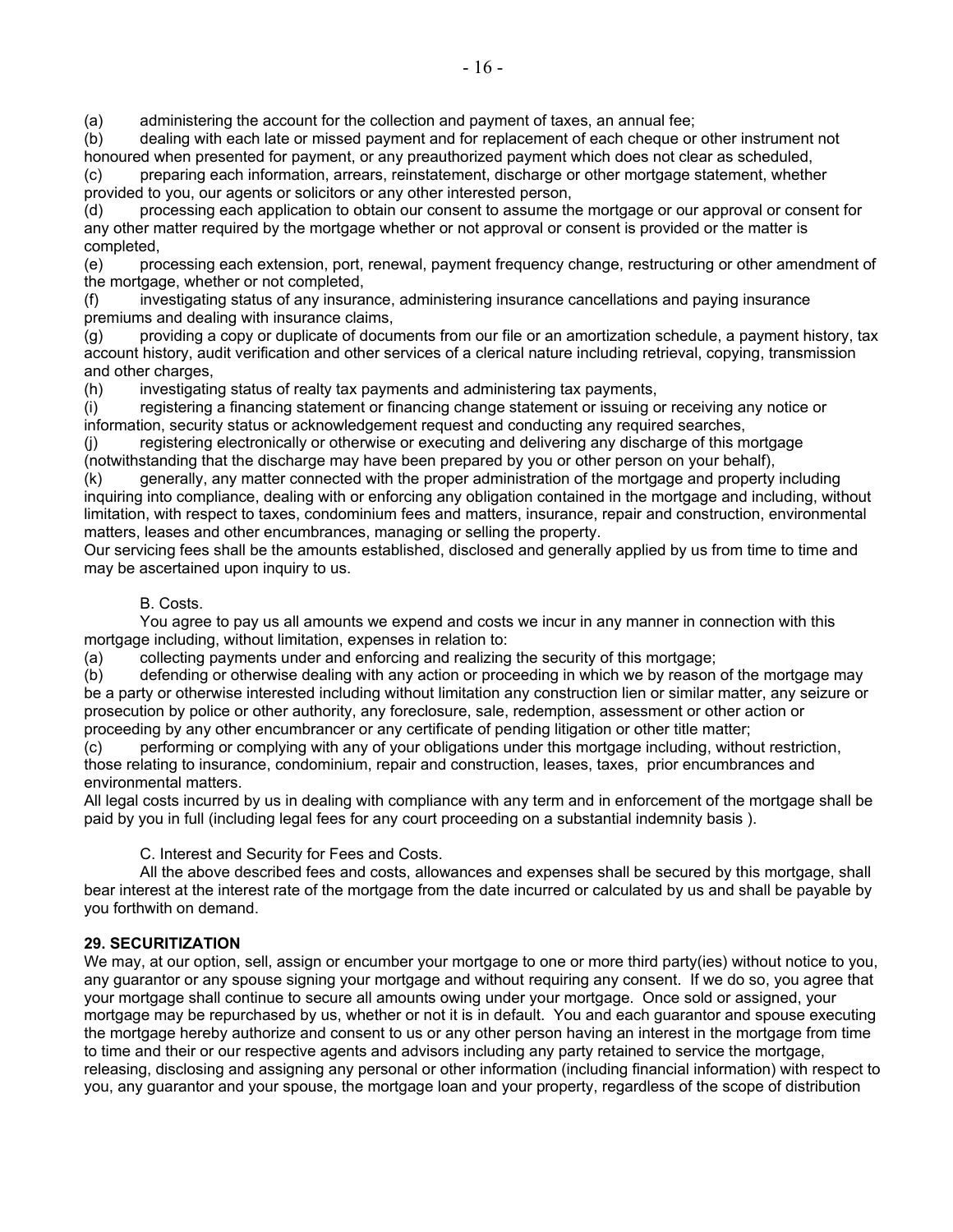(a) administering the account for the collection and payment of taxes, an annual fee;

(b) dealing with each late or missed payment and for replacement of each cheque or other instrument not honoured when presented for payment, or any preauthorized payment which does not clear as scheduled,

(c) preparing each information, arrears, reinstatement, discharge or other mortgage statement, whether provided to you, our agents or solicitors or any other interested person,

(d) processing each application to obtain our consent to assume the mortgage or our approval or consent for any other matter required by the mortgage whether or not approval or consent is provided or the matter is completed,

(e) processing each extension, port, renewal, payment frequency change, restructuring or other amendment of the mortgage, whether or not completed,

(f) investigating status of any insurance, administering insurance cancellations and paying insurance premiums and dealing with insurance claims,

 $(q)$  providing a copy or duplicate of documents from our file or an amortization schedule, a payment history, tax account history, audit verification and other services of a clerical nature including retrieval, copying, transmission and other charges,

(h) investigating status of realty tax payments and administering tax payments,

(i) registering a financing statement or financing change statement or issuing or receiving any notice or information, security status or acknowledgement request and conducting any required searches,

(j) registering electronically or otherwise or executing and delivering any discharge of this mortgage (notwithstanding that the discharge may have been prepared by you or other person on your behalf),

(k) generally, any matter connected with the proper administration of the mortgage and property including inquiring into compliance, dealing with or enforcing any obligation contained in the mortgage and including, without limitation, with respect to taxes, condominium fees and matters, insurance, repair and construction, environmental matters, leases and other encumbrances, managing or selling the property.

Our servicing fees shall be the amounts established, disclosed and generally applied by us from time to time and may be ascertained upon inquiry to us.

## B. Costs.

 You agree to pay us all amounts we expend and costs we incur in any manner in connection with this mortgage including, without limitation, expenses in relation to:

(a) collecting payments under and enforcing and realizing the security of this mortgage;

(b) defending or otherwise dealing with any action or proceeding in which we by reason of the mortgage may be a party or otherwise interested including without limitation any construction lien or similar matter, any seizure or prosecution by police or other authority, any foreclosure, sale, redemption, assessment or other action or proceeding by any other encumbrancer or any certificate of pending litigation or other title matter;

(c) performing or complying with any of your obligations under this mortgage including, without restriction, those relating to insurance, condominium, repair and construction, leases, taxes, prior encumbrances and environmental matters.

All legal costs incurred by us in dealing with compliance with any term and in enforcement of the mortgage shall be paid by you in full (including legal fees for any court proceeding on a substantial indemnity basis ).

#### C. Interest and Security for Fees and Costs.

 All the above described fees and costs, allowances and expenses shall be secured by this mortgage, shall bear interest at the interest rate of the mortgage from the date incurred or calculated by us and shall be payable by you forthwith on demand.

#### **29. SECURITIZATION**

We may, at our option, sell, assign or encumber your mortgage to one or more third party(ies) without notice to you, any guarantor or any spouse signing your mortgage and without requiring any consent. If we do so, you agree that your mortgage shall continue to secure all amounts owing under your mortgage. Once sold or assigned, your mortgage may be repurchased by us, whether or not it is in default. You and each guarantor and spouse executing the mortgage hereby authorize and consent to us or any other person having an interest in the mortgage from time to time and their or our respective agents and advisors including any party retained to service the mortgage, releasing, disclosing and assigning any personal or other information (including financial information) with respect to you, any guarantor and your spouse, the mortgage loan and your property, regardless of the scope of distribution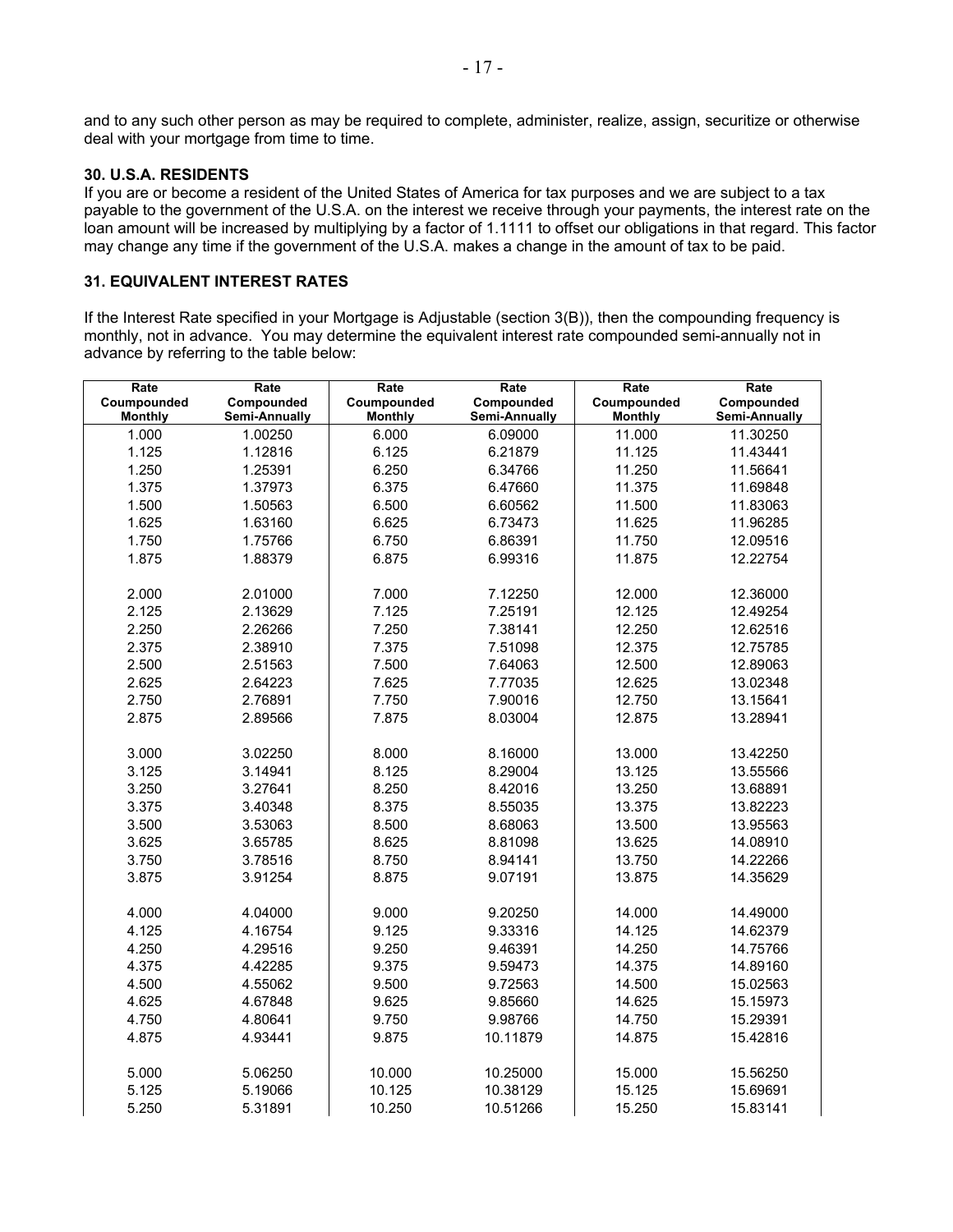and to any such other person as may be required to complete, administer, realize, assign, securitize or otherwise deal with your mortgage from time to time.

#### **30. U.S.A. RESIDENTS**

If you are or become a resident of the United States of America for tax purposes and we are subject to a tax payable to the government of the U.S.A. on the interest we receive through your payments, the interest rate on the loan amount will be increased by multiplying by a factor of 1.1111 to offset our obligations in that regard. This factor may change any time if the government of the U.S.A. makes a change in the amount of tax to be paid.

## **31. EQUIVALENT INTEREST RATES**

If the Interest Rate specified in your Mortgage is Adjustable (section 3(B)), then the compounding frequency is monthly, not in advance. You may determine the equivalent interest rate compounded semi-annually not in advance by referring to the table below:

| Rate           | Rate          | Rate           | Rate          | Rate           | Rate          |
|----------------|---------------|----------------|---------------|----------------|---------------|
| Coumpounded    | Compounded    | Coumpounded    | Compounded    | Coumpounded    | Compounded    |
| <b>Monthly</b> | Semi-Annually | <b>Monthly</b> | Semi-Annually | <b>Monthly</b> | Semi-Annually |
| 1.000          | 1.00250       | 6.000          | 6.09000       | 11.000         | 11.30250      |
| 1.125          | 1.12816       | 6.125          | 6.21879       | 11.125         | 11.43441      |
| 1.250          | 1.25391       | 6.250          | 6.34766       | 11.250         | 11.56641      |
| 1.375          | 1.37973       | 6.375          | 6.47660       | 11.375         | 11.69848      |
| 1.500          | 1.50563       | 6.500          | 6.60562       | 11.500         | 11.83063      |
| 1.625          | 1.63160       | 6.625          | 6.73473       | 11.625         | 11.96285      |
| 1.750          | 1.75766       | 6.750          | 6.86391       | 11.750         | 12.09516      |
| 1.875          | 1.88379       | 6.875          | 6.99316       | 11.875         | 12.22754      |
|                |               |                |               |                |               |
| 2.000          | 2.01000       | 7.000          | 7.12250       | 12.000         | 12.36000      |
| 2.125          | 2.13629       | 7.125          | 7.25191       | 12.125         | 12.49254      |
| 2.250          | 2.26266       | 7.250          | 7.38141       | 12.250         | 12.62516      |
| 2.375          | 2.38910       | 7.375          | 7.51098       | 12.375         | 12.75785      |
| 2.500          | 2.51563       | 7.500          | 7.64063       | 12.500         | 12.89063      |
| 2.625          | 2.64223       | 7.625          | 7.77035       | 12.625         | 13.02348      |
| 2.750          | 2.76891       | 7.750          | 7.90016       | 12.750         | 13.15641      |
| 2.875          | 2.89566       | 7.875          | 8.03004       | 12.875         | 13.28941      |
|                |               |                |               |                |               |
| 3.000          | 3.02250       | 8.000          | 8.16000       | 13.000         | 13.42250      |
| 3.125          | 3.14941       | 8.125          | 8.29004       | 13.125         | 13.55566      |
| 3.250          | 3.27641       | 8.250          | 8.42016       | 13.250         | 13.68891      |
| 3.375          | 3.40348       | 8.375          | 8.55035       | 13.375         | 13.82223      |
| 3.500          | 3.53063       | 8.500          | 8.68063       | 13.500         | 13.95563      |
| 3.625          | 3.65785       | 8.625          | 8.81098       | 13.625         | 14.08910      |
| 3.750          | 3.78516       | 8.750          | 8.94141       | 13.750         | 14.22266      |
| 3.875          | 3.91254       | 8.875          | 9.07191       | 13.875         | 14.35629      |
|                |               |                |               |                |               |
| 4.000          | 4.04000       | 9.000          | 9.20250       | 14.000         | 14.49000      |
| 4.125          | 4.16754       | 9.125          | 9.33316       | 14.125         | 14.62379      |
| 4.250          | 4.29516       | 9.250          | 9.46391       | 14.250         | 14.75766      |
| 4.375          | 4.42285       | 9.375          | 9.59473       | 14.375         | 14.89160      |
| 4.500          | 4.55062       | 9.500          | 9.72563       | 14.500         | 15.02563      |
| 4.625          | 4.67848       | 9.625          | 9.85660       | 14.625         | 15.15973      |
| 4.750          | 4.80641       | 9.750          | 9.98766       | 14.750         | 15.29391      |
| 4.875          | 4.93441       | 9.875          | 10.11879      | 14.875         | 15.42816      |
|                |               |                |               |                |               |
| 5.000          | 5.06250       | 10.000         | 10.25000      | 15.000         | 15.56250      |
| 5.125          | 5.19066       | 10.125         | 10.38129      | 15.125         | 15.69691      |
| 5.250          | 5.31891       | 10.250         | 10.51266      | 15.250         | 15.83141      |